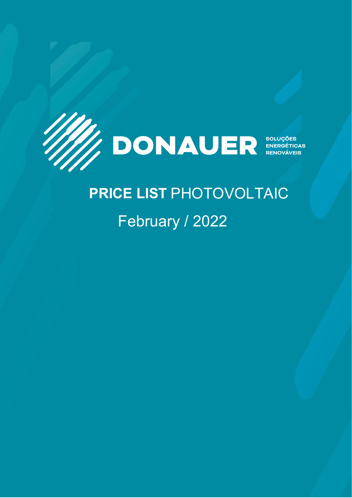

# **LISTA PRICE LIST PHOTOVOLTAIC** February / 2022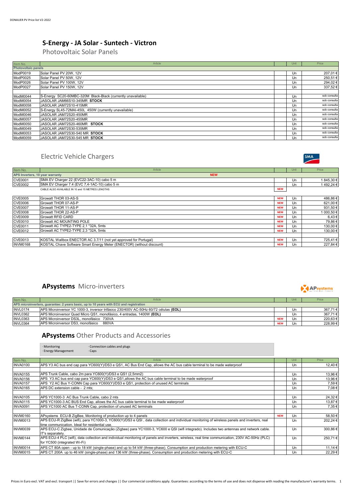# **S-Energy - JA Solar - Suntech - Victron**

Photovoltaic Solar Panels

| Item No.                   | Article                                                      |  | Unit | Price        |
|----------------------------|--------------------------------------------------------------|--|------|--------------|
| <b>Photovoltaic panels</b> |                                                              |  |      |              |
| ModP0019                   | Solar Panel PV 20W, 12V                                      |  | Un   | 207,01€      |
| ModP0025                   | Solar Panel PV 50W, 12V                                      |  | Un   | 250,51€      |
| ModP0026                   | Solar Panel PV 100W, 12V                                     |  | Un   | 294,02€      |
| ModP0027                   | Solar Panel PV 150W, 12V                                     |  | Un   | 337,52€      |
|                            |                                                              |  |      |              |
| ModM0044                   | S-Energy SC20-60MBC-320M Black-Black (currently unavailable) |  | Un   | sob consulta |
| ModM0054                   | JASOLAR JAM66S10-345MR STOCK                                 |  | Un   | sob consulta |
| ModM0058                   | JASOLAR JAM72S10-415MR                                       |  | Un   | sob consulta |
| ModM0052                   | S-Energy SL45-72MAI-450L 450W (currently unavailable)        |  | Un   | sob consulta |
| ModM0046                   | JASOLAR JAM72S20-450MR                                       |  | Un   | sob consulta |
| ModM0057                   | JASOLAR JAM72S20-455MR                                       |  | Un   | sob consulta |
| ModM0050                   | JASOLAR JAM72S20-460MR STOCK                                 |  | Un   | sob consulta |
| ModM0049                   | JASOLAR JAM72S30-535MR                                       |  | Un   | sob consulta |
| ModM0053                   | JASOLAR JAM72S30-540 MR STOCK                                |  | Un   | sob consulta |
| ModM0059                   | JASOLAR JAM72S30-545 MR STOCK                                |  | Un   | sob consulta |

# Electric Vehicle Chargers



| Item No.                        | Article                                                               |            | Unit | Price      |  |
|---------------------------------|-----------------------------------------------------------------------|------------|------|------------|--|
| APS Inverters, 10 year warranty | <b>NEW</b>                                                            |            |      |            |  |
| <b>CVE0001</b>                  | SMA EV Charger 22 (EVC22-3AC-10) cabo 5 m                             |            | Un   | 1845,30€   |  |
| <b>CVE0002</b>                  | SMA EV Charger 7.4 (EVC 7,4-1AC-10) cabo 5 m                          |            | Un   | 1492,24€   |  |
|                                 | CABLE ALSO AVAILABLE IN 10 and 15 METRES LENGTHS                      | <b>NEW</b> |      |            |  |
|                                 |                                                                       |            |      |            |  |
| <b>CVE0005</b>                  | Growatt THOR 03-AS-S                                                  | <b>NEW</b> | Un   | 486,86€    |  |
| <b>CVE0006</b>                  | Growatt THOR 07-AS-P                                                  | <b>NEW</b> | Un   | 621,00€    |  |
| <b>CVE0007</b>                  | Growatt THOR 11-AS-P                                                  | <b>NEW</b> | Un   | 931,50€    |  |
| <b>CVE0008</b>                  | Growatt THOR 22-AS-P                                                  | <b>NEW</b> | Un   | 1 000,50 € |  |
| <b>CVE0009</b>                  | <b>Growatt RFID CARD</b>                                              | <b>NEW</b> | Un   | 6,43€      |  |
| <b>CVE0010</b>                  | <b>Growatt AC MOUNTING POLE</b>                                       | <b>NEW</b> | Un   | 79,86€     |  |
| <b>CVE0011</b>                  | Growatt AC TYPE2-TYPE 2.1 *32A. 5mts                                  | <b>NEW</b> | Un   | 130,00€    |  |
| <b>CVE0012</b>                  | Growatt AC TYPE2-TYPE 2.3 *32A. 5mts                                  | <b>NEW</b> | Un   | 130,00€    |  |
|                                 |                                                                       |            |      |            |  |
| <b>CVE0013</b>                  | KOSTAL Wallbox ENECTOR AC 3.7/11 (not yet approved for Portugal)      | <b>NEW</b> | Un   | 725,41€    |  |
| <b>INVM0168</b>                 | KOSTAL Chave Software Smart Energy Meter (ENECTOR) (without discount) | <b>NEW</b> | Un   | 227,84 €   |  |

#### **APsystems** Micro-inverters

| Item No.        | Article                                                                                |            |    | Price   |  |
|-----------------|----------------------------------------------------------------------------------------|------------|----|---------|--|
|                 | APS microinverters, guarantee: 2 years basic, up to 10 years with ECU and registration |            |    |         |  |
| <b>INVL0174</b> | APS Microinversor YC 1000-3, inversor trifásico 230/400V AC-50Hz 60/72 células (EOL)   |            | Un | 367.71€ |  |
| <b>INVL0362</b> | APS Microinversor Quad Micro QS1, monofásico, 4 entradas, 1400W (EOL)                  |            | Un | 367.71€ |  |
| <b>INVL0363</b> | APS Microinversor DS3L, monofásico 730VA                                               | <b>NEW</b> | Un | 220.63€ |  |
| <b>INVL0364</b> | APS Microinversor DS3, monofásico<br>880VA                                             | <b>NEW</b> | Un | 228.99€ |  |

#### **APsystems** Other Products and Accessories

|                 | Connection cables and plugs<br>· Monitoring                                                                                                                                                    |            |      |          |
|-----------------|------------------------------------------------------------------------------------------------------------------------------------------------------------------------------------------------|------------|------|----------|
|                 | · Energy Management<br>$\cdot$ Caps                                                                                                                                                            |            |      |          |
|                 |                                                                                                                                                                                                |            |      |          |
| Item No.        | Article                                                                                                                                                                                        |            | Unit | Price    |
| <b>INVA0100</b> | APS Y3 AC bus end cap para YC600(Y)/DS3 e QS1, AC Bus End Cap, allows the AC bus cable terminal to be made waterproof                                                                          |            | Un   | 12,40 €  |
|                 |                                                                                                                                                                                                |            |      |          |
| <b>INVA0155</b> | APS Trunk Cable, cabo 2m para YC600(Y)/DS3 e QS1 (2,5mm2)                                                                                                                                      |            | Un   | 13,96 €  |
| <b>INVA0156</b> | APS Y3 AC bus end cap para YC600(Y)/DS3 e QS1, allows the AC bus cable terminal to be made waterproof                                                                                          |            | Un   | 13,96€   |
| <b>INVA0157</b> | APS Y2 AC Bus Y-CONN Cap para YC600(Y)/DS3 e QS1, protection of unused AC terminals                                                                                                            |            | Un   | 7,59€    |
| <b>INVA0165</b> | APS DC extension cable - 2 mts;                                                                                                                                                                |            | Un   | 7,08€    |
| <b>INVA0105</b> | APS YC1000-3 AC Bus Trunk Cable, cabo 2 mts                                                                                                                                                    |            | Un   | 24,32€   |
| <b>INVA0115</b> | APS YC1000-3 AC BUS End Cap, allows the AC bus cable terminal to be made waterproof                                                                                                            |            | Un   | 13.87 €  |
| <b>INVA0091</b> | APS YC1000 AC Bus T-CONN Cap, protection of unused AC terminals                                                                                                                                |            | Un   | 7,35€    |
| <b>INVM0160</b> | APsystems ECU-B ZigBee, Monitoring of production up to 4 panels                                                                                                                                | <b>NEW</b> | Un   | 58,50 €  |
| INVM0013        | APS ECU-R ZigBee (wifi), para YC1000-3, YC600(Y)/DS3 e QSI, data collection and individual monitoring of wireless panels and inverters, real<br>time communication. Ideal for residential use. |            | Un   | 202,24 € |
| INVM0039        | APS ECU-C Zigbee, Unidade de Comunicação (Zigbee) para YC1000-3, YC600 e QSI (wifi integrado). Includes two antennas and network cable.<br>IT's separately.                                    |            | Un   | 300,86€  |
| <b>INVM0144</b> | APS ECU-4 PLC (wifi), data collection and individual monitoring of panels and inverters, wireless, real time communication, 230V AC-50Hz (PLC)<br>for YC500 (integrated Wi-Fi)                 |            | Un   | 250,71€  |
| <b>INVM0014</b> | APS CT 80A open - up to 18 kW (single-phase) and up to 54 kW (three-phase). Consumption and production metering with ECU-C                                                                     |            | Un   | 11,14 €  |
| INVM0015        | APS CT 200A up to 46 kW (single-phase) and 136 kW (three-phase). Consumption and production metering with ECU-C                                                                                |            | Un   | 22,29€   |

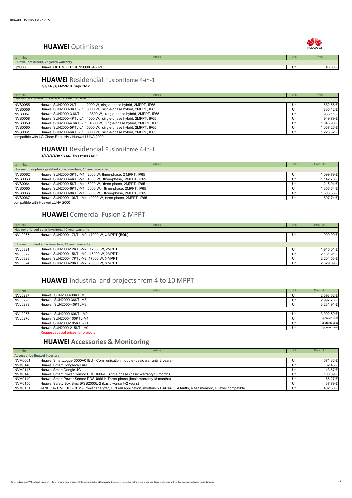#### **HUAWEI** Optimisers

| Item No. | Article                              | Unit |         |
|----------|--------------------------------------|------|---------|
|          | Huawei optimizers, 25 years warranty |      |         |
| Opt0008  | Huawei OPTIMIZER SUN2000P-450W       | Un   | 46,00 € |
|          |                                      |      |         |

#### **HUAWEI** Residencial FusionHome 4-in-1 **2/3/3.68/4/4.6/5/6KTL Single Phase**

| Item No.        | Article                                                                                                                                                                                                                              |  | Unit | Price      |  |
|-----------------|--------------------------------------------------------------------------------------------------------------------------------------------------------------------------------------------------------------------------------------|--|------|------------|--|
|                 | <b>THE THE TIME IS ONE THE THEFT OF STRAIGHT AND THE TIME IS A THE TIME IS TO PET OF THE TIME IS THE TIME IS TO PET OF THE TIME IS THE TIME IS TO PET OF THE TIME IS TO PET OF THE TIME IS TO PET OF THE TIME IS TO PET OF THE T</b> |  |      |            |  |
| <b>INVS0055</b> | Huawei SUN2000-2KTL-L1, 2000 W, single-phase hybrid, 2MPPT, IP65                                                                                                                                                                     |  | Un   | 682,56€    |  |
| <b>INVS0056</b> | Huawei SUN2000-3KTL-L1, 3000 W, single-phase hybrid, 2MPPT, IP65                                                                                                                                                                     |  | Un   | 805,12€    |  |
| <b>INVS0057</b> | Huawei SUN2000-3,6KTL-L1, 3600 W, single-phase hybrid, 2MPPT, IP65                                                                                                                                                                   |  | Un   | 938,11€    |  |
| <b>INVS0058</b> | Huawei SUN2000-4KTL-L1, 4000 W, single-phase hybrid, 2MPPT, IP65                                                                                                                                                                     |  | Un   | 949,79€    |  |
| <b>INVS0059</b> | Huawei SUN2000-4.6KTL-L1, 4600 W, single-phase hybrid, 2MPPT, IP65                                                                                                                                                                   |  | Un   | 1 045,90 € |  |
| <b>INVS0060</b> | Huawei SUN2000-5KTL-L1, 5000 W, single-phase hybrid, 2MPPT, IP65                                                                                                                                                                     |  | Un   | 1 067,25 € |  |
| <b>INVS0061</b> | Huawei SUN2000-6KTL-L1, 6000 W, single-phase hybrid, 2MPPT, IP65                                                                                                                                                                     |  | Un   | 1 225,52 € |  |
|                 |                                                                                                                                                                                                                                      |  |      |            |  |

compatible with LG Chem Resu HV / Huawei LUNA 2000

#### **HUAWEI** Residencial FusionHome 4-in-1 **3/4/5/6/8/10 KTL-M1 Three-Phase 2 MPPT**

| Item No.        | Article                                                        | Unit | Price Un.  |
|-----------------|----------------------------------------------------------------|------|------------|
|                 | Huawei three-phase grid-tied solar inverters, 10 year warranty |      |            |
| <b>INVS0062</b> | Huawei SUN2000-3KTL-M1, 2000 W, three-phase, 2 MPPT, IP65      | Un   | 1 099,79 € |
| <b>INVS0063</b> | Huawei SUN2000-4KTL-M1, 4000 W, three-phase, 2MPPT, IP65       | Un   | 1 142,78 € |
| <b>INVS0064</b> | Huawei SUN2000-5KTL-M1, 5000 W, three-phase, 2MPPT, IP65       | Un   | 1 215.04 € |
| <b>INVS0065</b> | Huawei SUN2000-6KTL-M1, 6000 W, three-phase, 2MPPT, IP65       | Un   | 1 356,64 € |
| <b>INVS0066</b> | Huawei SUN2000-8KTL-M1, 8000 W, three-phase, 2MPPT, IP65       | Un   | 1 608,53 € |
| <b>INVS0067</b> | Huawei SUN2000-10KTL-M1, 10000 W, three-phase, 2MPPT, IP65     | Un   | 1 807,74 € |

compatible with Huawei LUNA 2000

#### **HUAWEI** Comercial Fusion 2 MPPT

| Item No.                                           | Article                                            |  | Unit | Price Un.  |  |
|----------------------------------------------------|----------------------------------------------------|--|------|------------|--|
|                                                    | Huawei grid-tied solar inverters, 10 year warranty |  |      |            |  |
| <b>INVL0267</b>                                    | Huawei SUN2000-17KTL-M0, 17000 W, 3 MPPT (EOL)     |  | Un   | 1 900,00 € |  |
|                                                    |                                                    |  |      |            |  |
| Huawei grid-tied solar inverters, 10 year warranty |                                                    |  |      |            |  |
| <b>INVL0321</b>                                    | Huawei SUN2000-12KTL-M2, 12000 W, 2MPPT            |  | Un   | 1915,01€   |  |
| <b>INVL0322</b>                                    | Huawei SUN2000-15KTL-M2, 15000 W, 2MPPT            |  | Un   | 2 161,91 € |  |
| <b>INVL0323</b>                                    | Huawei SUN2000-17KTL-M2, 17000 W, 3 MPPT           |  | Un   | 2 204,53 € |  |
| <b>INVL0324</b>                                    | Huawei SUN2000-20KTL-M2, 20000 W, 3 MPPT           |  | Un   | 2 329,09€  |  |

# **HUAWEI** Industrial and projects from 4 to 10 MPPT

| Item No.        | Article                             | Unit | Price Un.    |
|-----------------|-------------------------------------|------|--------------|
| <b>INVL0297</b> | Huawei SUN2000-30KTLM3              | Un   | 2 693,52 €   |
| <b>INVL0298</b> | Huawei SUN2000-36KTLM3              | Un   | 2 997,76 €   |
| <b>INVL0299</b> | Huawei SUN2000-40KTLM3              | Un   | 3 231,91 €   |
|                 |                                     |      |              |
| <b>INVL0057</b> | Huawei SUN2000-60KTL-M0             | Un   | 3 902,50 €   |
| <b>INVL0276</b> | Huawei SUN2000-100KTL-M1            | Un   | upon request |
|                 | Huawei SUN2000-185KTL-H1            | Un   | upon request |
|                 | Huawei SUN2000-215KTL-H0            | Un   | upon request |
|                 | Request special prices for projects |      |              |

#### **HUAWEI Accessories & Monitoring**

| Item No.        | Article                                                                                                                  |  | Unit | Price Un. |  |  |
|-----------------|--------------------------------------------------------------------------------------------------------------------------|--|------|-----------|--|--|
|                 | <b>iAccessories Huawei inverters</b>                                                                                     |  |      |           |  |  |
| INVM0001        | Huawei SmartLogger3000A01EU - Communication module (basic warranty 2 years)                                              |  | Un   | 571,36€   |  |  |
| <b>INVM0146</b> | Huawei Smart Dongle-WLAN                                                                                                 |  | Un   | 62,43 €   |  |  |
| INVM0147        | Huawei Smart Dongle-4G                                                                                                   |  | Un   | 143,67 €  |  |  |
| <b>INVM0148</b> | Huawei Smart Power Sensor DDSU666-H Single phase (basic warranty18 months)                                               |  | Un   | 100,09€   |  |  |
| <b>INVM0149</b> | Huawei Smart Power Sensor DDSU666-H Three-phase (basic warranty18 months)                                                |  | Un   | 166,27 €  |  |  |
| <b>INVM0150</b> | Huawei Safety Box SmartPSB2000L-2 (basic warranty2 years)                                                                |  | Un   | 37,79€    |  |  |
| <b>INVM0151</b> | JANITZA- UMG 103-CBM - Power analyzer, DIN rail application, modbus RTU/Rs485, 4 tariffs, 4 MB memory, Huawei compatible |  | Un   | 402,50 €  |  |  |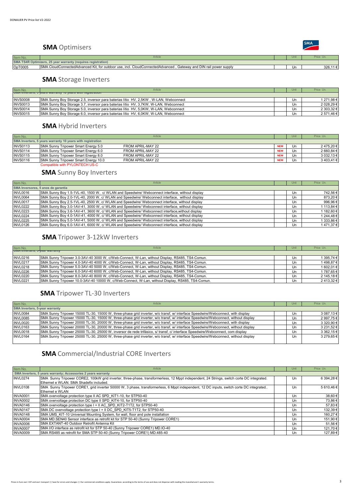#### **SMA** Optimisers

| <b>Item No</b>                                                | Article                                                                                                                             |  |    |        |  |
|---------------------------------------------------------------|-------------------------------------------------------------------------------------------------------------------------------------|--|----|--------|--|
| SMA TS4R Optimizers, 25 year warranty (requires registration) |                                                                                                                                     |  |    |        |  |
| OpT0005                                                       | <b>SMA</b><br>.A CloudConnectedAdvanced Kit, for outdoor use, incl. CloudConnectedAdvanced,<br>', Gateway and DIN rail power supply |  | Ur | 326,11 |  |
|                                                               |                                                                                                                                     |  |    |        |  |

#### **SMA** Storage Inverters

| Item No.        | Article                                                                              |  | Unit | Price Un.  |  |  |
|-----------------|--------------------------------------------------------------------------------------|--|------|------------|--|--|
|                 | <b>SIMA INVERTERS, J years warranty TU years with registration</b>                   |  |      |            |  |  |
| <b>INVS0008</b> | SMA Sunny Boy Storage 2.5, inversor para baterias lítio HV, 2,5KW, W-LAN, Webconnect |  | Un   | 1 271,98 € |  |  |
| <b>INVS0013</b> | SMA Sunny Boy Storage 3.7, inversor para baterias lítio HV, 3,7KW, W-LAN, Webconnect |  | Un   | 2 028,29 € |  |  |
| <b>INVS0014</b> | SMA Sunny Boy Storage 5.0, inversor para baterias lítio HV, 5,0KW, W-LAN, Webconnect |  | Un   | 2 303.32 € |  |  |
| <b>INVS0015</b> | SMA Sunny Boy Storage 6.0, inversor para baterias litio HV, 6,0KW, W-LAN, Webconnect |  | Un   | 2 571,46 € |  |  |

#### **SMA** Hybrid Inverters

| Item No.                                                   |                                      | Article           |            | Unit | Price Un.  |
|------------------------------------------------------------|--------------------------------------|-------------------|------------|------|------------|
| SMA Inverters, 5 years warranty 10 years with registration |                                      |                   |            |      |            |
| <b>INVS0113</b>                                            | SMA Sunny Tripower Smart Energy 5.0  | FROM APRIL-MAY 22 | <b>NEW</b> | Un   | 2475,20€   |
| <b>INVS0114</b>                                            | SMA Sunny Tripower Smart Energy 6.0  | FROM APRIL-MAY 22 | <b>NEW</b> | Un   | 2 660,84 € |
| <b>INVS0115</b>                                            | SMA Sunny Tripower Smart Energy 8.0  | FROM APRIL-MAY 22 | <b>NEW</b> | Un   | 3 032,13 € |
| <b>INVS0116</b>                                            | SMA Sunny Tripower Smart Energy 10.0 | FROM APRIL-MAY 22 | <b>NEW</b> | Un   | 3403,41€   |
|                                                            | Compatible with PYLONTECH US-C       |                   |            |      |            |

# **SMA** Sunny Boy Inverters

| Item No.        | Article                                                                                        | Unit | Price Un.  |
|-----------------|------------------------------------------------------------------------------------------------|------|------------|
|                 | SMA Inversores, 5 anos de garantia                                                             |      |            |
| <b>INVL0016</b> | SMA Sunny Boy 1.5-1VL-40, 1500 W, c/ WLAN and Speedwire/ Webconnect interface, without display | Un   | 742,56€    |
| <b>INVL0064</b> | SMA Sunny Boy 2.0-1VL-40, 2000 W, c/ WLAN and Speedwire/ Webconnect interface, without display | Un   | 873,20€    |
| INVL0017        | SMA Sunny Boy 2.5-1VL-40, 2500 W, c/ WLAN and Speedwire/ Webconnect interface, without display | Un   | 996,96€    |
| <b>INVL0222</b> | SMA Sunny Boy 3.0-1AV-41, 3000 W, c/ WLAN and Speedwire/ Webconnect interface, without display | Un   | 1 113.84 € |
| <b>INVL0223</b> | SMA Sunny Boy 3.6-1AV-41, 3600 W, c/ WLAN and Speedwire/ Webconnect interface, without display | Un   | 1 182,60 € |
| <b>INVL0224</b> | SMA Sunny Boy 4.0-1AV-41, 4000 W, c/ WLAN and Speedwire/ Webconnect interface, without display | Un   | 1 244,48 € |
| <b>INVL0225</b> | SMA Sunny Boy 5.0-1AV-41, 5000 W, c/ WLAN and Speedwire/ Webconnect interface, without display | Un   | 1 333,86 € |
| <b>INVL0126</b> | SMA Sunny Boy 6.0-1AV-41, 6000 W, c/ WLAN and Speedwire/ Webconnect interface, without display | Un   | 1471.37€   |

#### **SMA** Tripower 3-12kW Inverters

| Item No.        | Article                                                                                          |  | Unit | Price Un.  |  |  |
|-----------------|--------------------------------------------------------------------------------------------------|--|------|------------|--|--|
|                 | <b>JIMA ILIVERETS, J-VEGI WALLATIV</b>                                                           |  |      |            |  |  |
| <b>INVL0216</b> | SMA Sunny Tripower 3.0-3AV-40 3000 W, c/Web-Connect, W-Lan, without Display, RS485, TS4-Comun.   |  | Un   | 1 395.74 € |  |  |
| <b>INVL0217</b> | SMA Sunny Tripower 4.0-3AV-40 4000 W, c/Web-Connect, W-Lan, without Display, RS485, TS4-Comun.   |  | Un   | 1498.87€   |  |  |
| <b>INVL0218</b> | SMA Sunny Tripower 5.0-3AV-40 5000 W, c/Web-Connect, W-Lan, without Display, RS485, TS4-Comun.   |  | Un   | 1 602,01 € |  |  |
| <b>INVL0226</b> | SMA Sunny Tripower 6.0-3AV-40 6000 W, c/Web-Connect, W-Lan, without Display, RS485, TS4-Comun.   |  | Un   | 1 787,65 € |  |  |
| <b>INVL0220</b> | SMA Sunny Tripower 8.0-3AV-40 8000 W, c/Web-Connect, W-Lan, without Display, RS485, TS4-Comun.   |  | Un   | 2 145.18 € |  |  |
| <b>INVL0221</b> | SMA Sunny Tripower 10.0-3AV-40 10000 W, c/Web-Connect, W-Lan, without Display, RS485, TS4-Comun. |  | Un   | 2413.32€   |  |  |

#### **SMA** Tripower TL-30 Inverters

| Item No.        | Article                                                                                                                            |  | Unit | Price Un.  |  |  |
|-----------------|------------------------------------------------------------------------------------------------------------------------------------|--|------|------------|--|--|
|                 | <b>SMA Inverters, 5-year warranty</b>                                                                                              |  |      |            |  |  |
| <b>INVL0084</b> | SMA Sunny Tripower 15000 TL-30, 15000 W, three-phase grid inverter, w/o transf, w/ interface Speedwire/Webconnect, with display    |  | Un   | 3 087,13 € |  |  |
| <b>INVL0085</b> | SMA Sunny Tripower 15000 TL-30, 15000 W, three-phase grid inverter, w/o transf, w/ interface Speedwire/Webconnect, without display |  | Un   | 2 997,75 € |  |  |
| <b>INVL0020</b> | SMA Sunny Tripower 20000 TL-30, 20000 W, three-phase grid inverter, w/o transf, w/ interface Speedwire/Webconnect, with display    |  | Un   | 3 320,90 € |  |  |
| <b>INVL0163</b> | SMA Sunny Tripower 20000 TL-30, 20000 W, three-phase grid inverter, w/o transf, w/ interface Speedwire/Webconnect, without display |  | Un   | 3 231,52 € |  |  |
| <b>INVL0018</b> | SMA Sunny Tripower 25000 TL-30, 25000 W, inversor de rede trifásico, s/ transf, c/ interface Speedwire/Webconnect, com display     |  | Un   | 3 362,15 € |  |  |
| <b>INVL0164</b> | SMA Sunny Tripower 25000 TL-30, 25000 W, three-phase grid inverter, w/o transf, w/ interface Speedwire/Webconnect, without display |  | Un   | 3 279.65 € |  |  |
|                 |                                                                                                                                    |  |      |            |  |  |

# **SMA** Commercial/Industrial CORE Inverters

| Item No.        | Article                                                                                                                                   | Unit | Price Un.  |
|-----------------|-------------------------------------------------------------------------------------------------------------------------------------------|------|------------|
|                 | SMA Inverters, 5 years warranty; Accessories 2 years warranty                                                                             |      |            |
| <b>INVL0274</b> | SMA Sunny Tripower CORE2, 100kW grid inverter, three-phase, transformerless, 12 Mppt independent, 24 Strings, switch corte DC integrated. | Un   | 6 394.28 € |
|                 | Ethernet e WLAN, SMA Shadefix included.                                                                                                   |      |            |
| <b>INVL0108</b> | SMA Sunny Tripower CORE1, grid inverter 50000 W, 3 phase, transformerless, 6 Mppt independent, 12 DC inputs, switch corte DC integrated   | Un   | 5610.46€   |
|                 | Ethernet e WLAN                                                                                                                           |      |            |
| <b>INVA0001</b> | SMA overvoltage protection type II AC SPD KIT1-10, for STP50-40                                                                           | Un   | 38,60€     |
| <b>INVA0002</b> | SMA overvoltage protection DC type II SPD KIT4-10, for STP50-40                                                                           | Un   | 73,86€     |
| INVA0146        | SMA overvoltage protection type I + II AC SPD KIT2-T1T2, for STP50-40                                                                     | Un   | 57,83€     |
| <b>INVA0147</b> | SMA DC overvoltage protection type I + II DC SPD KIT5-T1T2, for STP50-40                                                                  | Un   | 132,39€    |
| <b>INVA0148</b> | SMA UMS KIT-10 Universal Mounting System, for wall, floor and pole installation                                                           | Un   | 160,27€    |
| <b>INVA0004</b> | SMA MD.SEN40 Sensor interface as retrofit kit for STP 50-40 (Sunny Tripower CORE1)                                                        | Un   | 151,90 €   |
| INVA0006        | SMA EXTANT-40 Outdoor Retrofit Antenna Kit                                                                                                | Un   | 51,56€     |
| <b>INVA0007</b> | SMA I/O interface as retrofit kit for STP 50-40 (Sunny Tripower CORE1) MD.IO-40                                                           | Un   | 121,70€    |
| <b>INVA0009</b> | SMA RS485 as retrofit for SMA STP 50-40 (Sunny Tripower CORE1) MD.485-40                                                                  | Un   | 127,89€    |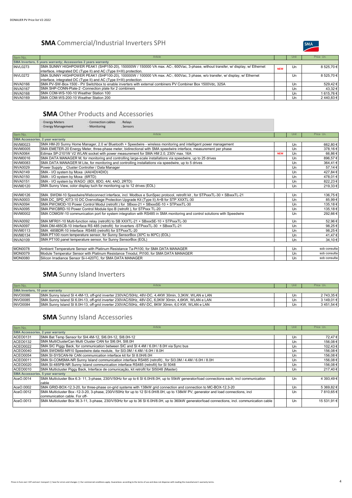### **SMA** Commercial/Industrial Inverters SPH



| Item No.        | Article                                                                                                                         |            | Unit | Price Un.  |
|-----------------|---------------------------------------------------------------------------------------------------------------------------------|------------|------|------------|
|                 | SMA Inverters, 5 years warranty; Accessories 2 years warranty                                                                   |            |      |            |
| <b>INVL0273</b> | SMA SUNNY HIGHPOWER PEAK1 (SHP150-20), 150000W / 150000 VA max. AC-, 600Vac, 3-phase, without transfer, w/ display, w/ Ethernet | <b>NEW</b> | Un   | 8 525.70 € |
|                 | interface, integrated DC (Type II) and AC (Type II+III) protection.                                                             |            |      |            |
| <b>INVL0272</b> | SMA SUNNY HIGHPOWER PEAK1 (SHP100-20), 100000W / 100000 VA max. AC-, 600Vac, 3 phase, w/o transfer, w/ display, w/ Ethernet     |            | Un   | 8 525.70 € |
|                 | linterface, integrated DC (Type II) and AC (Type II+III) protection                                                             |            |      |            |
| <b>INVA0166</b> | ISMA PV-SW-Box-1500 - PV Switchbox to enable inverters with external combiners PV Combiner Box 1500Vdc, 325A                    |            | Un   | 529,42€    |
| <b>INVA0167</b> | SMA SHP-CONN-Plate-2 - Connection plate for 2 combiners                                                                         |            | Un   | 43,32 €    |
| <b>INVA0168</b> | SMA COM-WS-100-10 Weather Station 100                                                                                           |            | Un   | 1615,76€   |
| <b>INVA0169</b> | SMA COM-WS-200-10 Weather Station 200                                                                                           |            | Un   | 2440.83€   |

### **SMA** Other Products and Accessories

|                               | · Energy Meters<br>· Connection cables<br>. Relays<br>· Energy Management<br>· Monitoring<br>. Sensors                   |            |      |              |
|-------------------------------|--------------------------------------------------------------------------------------------------------------------------|------------|------|--------------|
| Item No.                      | Article                                                                                                                  |            | Unit | Price Un.    |
|                               | <b>SMA Accessories, 2 year warranty</b>                                                                                  |            |      |              |
| <b>INVM0023</b>               | SMA HM-20 Sunny Home Manager, 2.0 w/ Bluetooth + Speedwire - wireless monitoring and intelligent power management        |            | Un   | 662,80€      |
| <b>INVM0005</b>               | SMA EMETER-20 Energy Meter, three-phase meter, bidirectional with SMA speedwire interface, measurement per phase         |            | Un   | 378.16€      |
| <b>INVA0064</b>               | Edimax SP-2101W V2 WLAN socket with power measurement for SMA HM 2.0, 230V max. 16A                                      | <b>NEW</b> | Un   | 66,86€       |
| <b>INVM0016</b>               | SMA DATA MANAGER M, for monitoring and controlling large-scale installations via speedwire, up to 25 drives              |            | Un   | 896,57€      |
| $\overline{\text{INV}}$ M0083 | SMA DATA MANAGER M Lite, for monitoring and controlling installations via speedwire, up to 5 drives                      |            | Un   | 364,41€      |
| <b>INVA0029</b>               | Power Supply Cluster Controller / Data Manager                                                                           |            | Un   | 57,14€       |
| <b>INVA0149</b>               | SMA - I/O system by Moxa (4AI/4DI/4DIO)                                                                                  |            | Un   | 427,84 €     |
| <b>INVA0150</b>               | SMA - I/O system by Moxa (6RTD)                                                                                          |            | Un   | 478,01€      |
| <b>INVA0151</b>               | SMA - I/O system by WAGO (8DI, 8DO, 4AI, 4AO, 2RTD)                                                                      |            | Un   | 822,23€      |
| <b>INVM0120</b>               | SMA Sunny View, color display tuch for monitoring up to 12 drives (EOL)                                                  |            | Un   | 219,33€      |
|                               |                                                                                                                          |            |      |              |
| <b>INVM0126</b>               | SMA SWDM-10 Speedwire/Webconnect interface, incl. Modbus e SunSpec protocol, retrofit kit, for STPxxxTL-30 + SBxxxTL-21  |            | Un   | 136,75€      |
| <b>INVA0003</b>               | SMA DC SPD KIT3-10 DC Overvoltage Protection Upgrade Kit (Type II) A+B for STP XXXTL-30                                  |            | Un   | 85,99€       |
| <b>INVA0094</b>               | SMA PWCMOD-10 Power Control Modul (retrofit) for SBxxx-21 + SBxxxSE-10 + STPxxxTL-30                                     |            | Un   | 135,18€      |
| <b>INVA0095</b>               | SMA PWCBRD-10 Power Control Module tipo B (retrofit), for STPxxx TL-20                                                   |            | Un   | 135,18€      |
| <b>INVM0002</b>               | SMA COMGW-10 communication port for system integration with RS485 in SMA monitoring and control solutions with Speedwire |            | Un   | 292,66€      |
| <b>INVA0092</b>               | SMA MFR01-10 Multi-function relay (retrofit) to SB XXXTL-21 + SBxxxSE-10 + STPxxxTL-30                                   |            | Un   | 52,96€       |
| <b>INVA0097</b>               | SMA DM-485CB-10 Interface RS 485 (retrofit) for inverters -STPxxxTL-30 + SBxxxTL-21                                      |            | Un   | 98,25€       |
| <b>INVM0113</b>               | SMA 485BDR-10 Interface RS485 (retrofit) for STPxxxTL-20                                                                 |            | Un   | 98,25€       |
| <b>INVM0134</b>               | SMA PT100 room temperature sensor, for Sunny SensorBox (30°C to 80°C) (EOL)                                              |            | Un   | 41,47€       |
| <b>INVA0109</b>               | SMA PT100 panel temperature sensor, for Sunny SensorBox (EOL)                                                            |            | Un   | 34,10€       |
|                               |                                                                                                                          |            |      |              |
| <b>MON0078</b>                | Ambient Temperature Sensor with Platinum Resistance Ta-Pt100, for SMA DATA MANAGER                                       |            | Un   | sob consulta |
| MON0079                       | Module Temperatur Sensor with Platinum Resistance Tmodul, Pt100, for SMA DATA MANAGER                                    |            | Un   | sob consulta |
| MON0080                       | Silicon Irradiance Sensor Si-I-420TC, for SMA DATA MANAGER                                                               |            | Un   | sob consulta |
|                               |                                                                                                                          |            |      |              |

# **SMA** Sunny Island Inverters

| Item No.                               | Article                                                                                             |  | Unit | Price Un.  |
|----------------------------------------|-----------------------------------------------------------------------------------------------------|--|------|------------|
| <b>SMA Inverters, 10 year warranty</b> |                                                                                                     |  |      |            |
| <b>INVO0086</b>                        | ISMA Sunny Island SI 4.4M-13, off-grid inverter 230VAC/50Hz, 48V-DC, 4.4KW 30min, 3.3KW, WLAN e LAN |  | Un   | 2 743.35 € |
| <b>INVO0085</b>                        | ISMA Sunny Island SI 6.0H-13, off-grid inverter 230VAC/50Hz, 48V-DC, 6.0KW 30min, 4.6KW, WLAN e LAN |  | Un   | 3.149.01 € |
| <b>INVO0084</b>                        | SMA Sunny Island SI 8.0H-13, off-grid inverter 230VAC/50Hz, 48V-DC, 8KW 30min, 6,0 KW, WLAN e LAN   |  | Un   | 3451.54€   |

# **SMA** Sunny Island Accessories

| Item No.        | Article                                                                                                                                                             | Unit | Price Un.   |
|-----------------|---------------------------------------------------------------------------------------------------------------------------------------------------------------------|------|-------------|
|                 | <b>SMA Accessories, 2 year warranty</b>                                                                                                                             |      |             |
| ACEO0131        | SMA Bat Temp Sensor for SI4.4M-12, SI6.0H-12, SI8.0H-12                                                                                                             | Un   | 72,47€      |
| <b>ACEO0132</b> | ISMA MultiClusterCan Multi Cluster CAN for SI6.0H, SI8.0H                                                                                                           | Un   | 156,08€     |
| <b>ACEO0022</b> | SMA SIC Piggy Back, for communication between SIC and SI 4.4M / 6.0H / 8.0H via Sync bus                                                                            | Un   | 102,43€     |
| <b>ACEO0040</b> | SMA SWDMSI-NR10 Speedwire data module, for SI3.0M / 4.4M / 6.0H / 8.0H                                                                                              | Un   | 156,08€     |
| ACEO0054        | SMA SI-SYSCAN-Nr CAN communication interface kit for SI 8.0H/6.0H                                                                                                   | Un   | 156,08€     |
| <b>ACEO0011</b> | SMA SI-COMSMA-NR Sunny Island communication interface RS485 (retrofit), for SI3.0M / 4.4M / 6.0H / 8.0H                                                             | Un   | 156,08€     |
| <b>ACEO0020</b> | SMA SI-485PB-NR Sunny Island communication interface RS485 (retrofit) for SI 5048                                                                                   | Un   | 156,08€     |
| ACEO0010        | SMA Multicluster Piggy Back, Interface de comunicação, kit retrofit for SI5048 (Master)                                                                             | Un   | 217.40€     |
|                 | <b>SMA Accessories, 5 year warranty</b>                                                                                                                             |      |             |
| AceO.0014       | SMA Multicluster Box 6.3-11, 3-phase, 230/V/50Hz for up to 6 SI 6.0H/8.0H, up to 55kW generator/load connections each, incl communication<br>cable                  | Un   | 4 393.49 €  |
| AceO.0002       | SMA GRID-BOX-12.3-20, for three-phase on-grid systems with 138kW grid connection and connection to MC-BOX-12.3-20                                                   | Un   | 5 369,82 €  |
| AceO.0012       | SMA Multicluster Box -12-3-20, 3-phase, 230/V/50Hz for up to 12 SI 6.0H/8.0H, up to 138kW PV, generator and load connections, incl<br>communication cable. For off- | Un   | 7810.65€    |
| AceO.0013       | SMA Multicluster Box 36.3-11, 3-phase, 230/V/50Hz for up to 36 SI 6.0H/8.0H, up to 360kW generator/load connections, incl. communication cable                      | Un   | 15 531.91 € |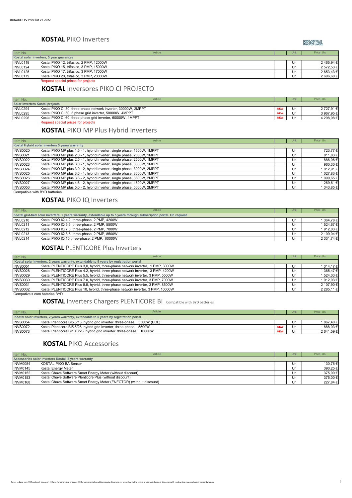#### **KOSTAL** PIKO Inverters

KOSTAL

| Item No.        | Article                                  |  | Uni | Price Un.  |  |
|-----------------|------------------------------------------|--|-----|------------|--|
|                 | Kostal solar inverters, 5 year guarantee |  |     |            |  |
| <b>INVL0119</b> | Kostal PIKO 12, trifásico, 2 PMP, 12000W |  | Un  | 2465,94€   |  |
| <b>INVL0124</b> | Kostal PIKO 15, trifásico, 3 PMP, 15000W |  | Un  | 2 572.53 € |  |
| <b>INVL0125</b> | Kostal PIKO 17, trifásico, 3 PMP, 17000W |  | Un  | 2 653,43 € |  |
| <b>INVL0179</b> | Kostal PIKO 20, trifásico, 3 PMP, 20000W |  | Un  | 2 696,60 € |  |
|                 | Request special prices for projects      |  |     |            |  |

#### **KOSTAL** Inversores PIKO CI PROJECTO

| Item No.                        | Article                                                        |            | Unit | Price Un.  |  |  |
|---------------------------------|----------------------------------------------------------------|------------|------|------------|--|--|
| Solar inverters Kostal projects |                                                                |            |      |            |  |  |
| <b>INVL0294</b>                 | Kostal PIKO CI 30, three-phase network inverter, 30000W, 2MPPT | <b>NEW</b> | Un   | 2 727.91 € |  |  |
| INVL0295                        | Kostal PIKO CI 50, 3 phase grid inverter, 50000W, 4MPPT        | <b>NEW</b> | Un   | 3 967.95 € |  |  |
| <b>INVL0296</b>                 | Kostal PIKO CI 60, three phase grid inverter, 60000W, 4MPPT    | <b>NEW</b> | Un   | 4 298.98 € |  |  |
|                                 | Request special prices for projects                            |            |      |            |  |  |

#### **KOSTAL** PIKO MP Plus Hybrid Inverters

| Item No.        | Article                                                                  |  | Unit | Price Un.  |  |  |
|-----------------|--------------------------------------------------------------------------|--|------|------------|--|--|
|                 | Kostal Hybrid solar inverters 5 years warranty                           |  |      |            |  |  |
| <b>INVS0020</b> | Kostal PIKO MP plus 1.5 - 1, hybrid inverter, single phase, 1500W, 1MPPT |  | Un   | 723,77€    |  |  |
| <b>INVS0021</b> | Kostal PIKO MP plus 2.0 - 1, hybrid inverter, single phase, 2000W, 1MPPT |  | Un   | 811,83 €   |  |  |
| <b>INVS0022</b> | Kostal PIKO MP plus 2.5 - 1, hybrid inverter, single phase, 2500W, 1MPPT |  | Un   | 886,06€    |  |  |
| <b>INVS0023</b> | Kostal PIKO MP plus 3.0 - 1, hybrid inverter, single phase, 3000W, 1MPPT |  | Un   | 960,30 €   |  |  |
| <b>INVS0024</b> | Kostal PIKO MP plus 3.0 - 2, hybrid inverter, single phase, 3000W, 2MPPT |  | Un   | 1 012,91 € |  |  |
| <b>INVS0025</b> | Kostal PIKO MP plus 3.6 - 1, hybrid inverter, single phase, 3600W, 1MPPT |  | Un   | 1 027,83 € |  |  |
| <b>INVS0026</b> | Kostal PIKO MP plus 3.6 - 2, hybrid inverter, single phase, 3600W, 2MPPT |  | Un   | 1 099,65 € |  |  |
| <b>INVS0027</b> | Kostal PIKO MP plus 4.6 - 2, hybrid inverter, single phase, 4600W, 2MPPT |  | Un   | 1 269,61 € |  |  |
| <b>INVS0053</b> | Kostal PIKO MP plus 5.0 - 2, hybrid inverter, single phase, 5000W, 2MPPT |  | Un   | 1 343,85 € |  |  |

**Compatible with BYD batteries** 

#### **KOSTAL** PIKO IQ Inverters

| Item No.                                                                                                             | Article                                       |  | Unit | Price Un.  |  |
|----------------------------------------------------------------------------------------------------------------------|-----------------------------------------------|--|------|------------|--|
| Kostal grid-tied solar inverters, 2 years warranty, extendable up to 5 years through subscription portal. On request |                                               |  |      |            |  |
| <b>INVL0210</b>                                                                                                      | Kostal PIKO IQ 4.2, three-phase, 2 PMP, 4200W |  | Un   | 1 364,78 € |  |
| <b>INVL0211</b>                                                                                                      | Kostal PIKO IQ 5.5, three-phase, 2 PMP, 5500W |  | Un   | 1 524.67 € |  |
| <b>INVL0212</b>                                                                                                      | Kostal PIKO IQ 7.0, three-phase, 2 PMP, 7000W |  | Un   | 1912,03€   |  |
| <b>INVL0213</b>                                                                                                      | Kostal PIKO IQ 8.5, three-phase, 2 PMP, 8500W |  | Un   | 2 109,04 € |  |
| <b>INVL0214</b>                                                                                                      | Kostal PIKO IQ 10, three-phase, 2 PMP, 10000W |  | Un   | 2 331,74 € |  |

#### **KOSTAL** PLENTICORE Plus Inverters

| Item No.        | Article                                                                                | Unit | Price Un.     |
|-----------------|----------------------------------------------------------------------------------------|------|---------------|
|                 | Kostal solar inverters, 2 years warranty, extendable to 5 years by registration portal |      |               |
| <b>INVS0051</b> | Kostal PLENTICORE Plus 3.0, hybrid, three-phase network inverter, 1 PMP, 3000W         | Un   | 1 314.17 €    |
| <b>INVS0028</b> | Kostal PLENTICORE Plus 4.2, hybrid, three-phase network inverter, 3 PMP, 4200W         | Un   | 1 365.47 €    |
| <b>INVS0029</b> | Kostal PLENTICORE Plus 5.5, hybrid, three-phase network inverter, 3 PMP, 5500W         | Un   | 1 524,03 €    |
| <b>INVS0030</b> | Kostal PLENTICORE Plus 7.0, hybrid, three-phase network inverter, 3 PMP, 7000W         | Un   | 1912,03€      |
| <b>INVS0031</b> | Kostal PLENTICORE Plus 8.5, hybrid, three-phase network inverter, 3 PMP, 8500W         | Un   | 2 107,90 €    |
| <b>INVS0032</b> | Kostal PLENTICORE Plus 10, hybrid, three-phase network inverter, 3 PMP, 10000W         | Un   | 2 2 8 5 1 1 € |

Compatíveis com baterias BYD

#### **KOSTAL** Inverters Chargers PLENTICORE BI Compatible with BYD batteries

| Item No.        | <b>Article</b>                                                                         |            | Unit | Price Un.  |
|-----------------|----------------------------------------------------------------------------------------|------------|------|------------|
|                 | Kostal solar inverters, 2 years warranty, extendable to 5 years by registration portal |            |      |            |
| <b>INVS0054</b> | Kostal Plenticore BI5.5/13, hybrid grid inverter, three-phase,<br>5500W (EOL)          |            | Un   | 1 867.40 € |
| <b>INVS0072</b> | Kostal Plenticore BI5.5/26, hybrid grid inverter, three-phase.<br>5500W                | <b>NEW</b> | Un   | 1888.03€   |
| <b>INVS0073</b> | 10000W<br>Kostal Plenticore BI10.0/26, hybrid grid inverter, three-phase,              | <b>NEW</b> | Ur   | 2 641.59 € |

#### **KOSTAL** PIKO Accessories

| Item No.        | Article                                                               |  | Unit | Price Un. |  |  |
|-----------------|-----------------------------------------------------------------------|--|------|-----------|--|--|
|                 | Accessories solar inverters Kostal, 2 years warranty                  |  |      |           |  |  |
| INVM0054        | KOSTAL PIKO BA Sensor                                                 |  | Un   | 130,76 €  |  |  |
| <b>INVM0145</b> | Kostal Energy Meter                                                   |  | Un   | 390,25 €  |  |  |
| <b>INVM0152</b> | Kostal Chave Software Smart Energy Meter (without discount)           |  | Un   | 375,00 €  |  |  |
| <b>INVM0153</b> | Kostal Chave Software Plenticore Plus (without discount)              |  | Un   | 375,00 €  |  |  |
| <b>INVM0168</b> | Kostal Chave Software Smart Energy Meter (ENECTOR) (without discount) |  | Un   | 227,84 €  |  |  |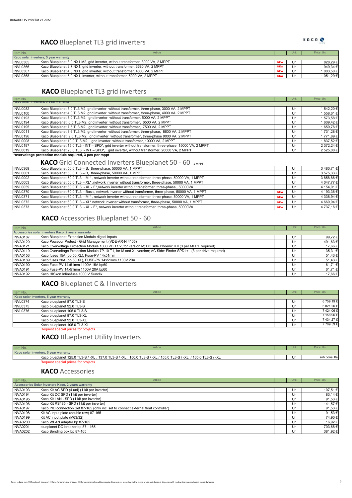#### **KACO** Blueplanet TL3 grid inverters

| Item No.        | Article                                                                         |            | Unit | Price Un.  |
|-----------------|---------------------------------------------------------------------------------|------------|------|------------|
|                 | Kaco solar inverters, 5 year warranty                                           |            |      |            |
| <b>INVL0365</b> | Kaco Blueplanet 3.0 NX1 M2, grid inverter, without transformer, 3000 VA, 2 MPPT | <b>NEW</b> | Un.  | 828.29€    |
| <b>INVL0366</b> | Kaco Blueplanet 3.7 NX1, grid inverter, without transformer, 3680 VA, 2 MPPT    | <b>NEW</b> | Un   | 949.34 €   |
| <b>INVL0367</b> | Kaco Blueplanet 4.0 NX1, grid inverter, without transformer, 4000 VA, 2 MPPT    | <b>NEW</b> | Un   | 1 003.50 € |
| <b>INVL0368</b> | Kaco Blueplanet 5.0 NX1, inverter, without transformer, 5000 VA, 2 MPPT         | <b>NEW</b> | Un.  | 1 051.29 € |
|                 |                                                                                 |            |      |            |

#### **KACO** Blueplanet TL3 grid inverters

| Item No.        | Article                                                                                                 | Unit | Price Un.  |
|-----------------|---------------------------------------------------------------------------------------------------------|------|------------|
|                 | <b>NALU SUIAI IIIVEILEIS, O YEAI WAITAIILY</b>                                                          |      |            |
| <b>INVL0082</b> | Kaco Blueplanet 3.0 TL3 M2, grid inverter, without transformer, three-phase, 3000 VA, 2 MPPT            | Un   | 1 542,20 € |
| <b>INVL0100</b> | Kaco Blueplanet 4.0 TL3 M2, grid inverter, without transformer, three-phase, 4000 VA, 2 MPPT            | Un   | 1 558.61 € |
| <b>INVL0193</b> | Kaco Blueplanet 5.0 TL3 M2, grid inverter, without transformer, 5000 VA, 2 MPPT                         | Un   | 1 573,58 € |
| <b>INVL0194</b> | Kaco Blueplanet 6.5 TL3 M2, grid inverter, without transformer, 6500 VA, 2 MPPT                         | Un   | 1 609,42 € |
| <b>INVL0195</b> | Kaco Blueplanet 7.5 TL3 M2, grid inverter, without transformer, 7500 VA, 2 MPPT                         | Un   | 1 659,76 € |
| <b>INVL0011</b> | Kaco Blueplanet 8.6 TL3 M2, grid inverter, without transformer, three-phase, 8600 VA, 2 MPPT            | Un   | 1 731,28 € |
| <b>INVL0196</b> | Kaco Blueplanet 9.0 TL3 M2, grid inverter, without transformer, three-phase 9000 VA, 2 MPPT             | Un   | 1771,89€   |
| <b>INVL0008</b> | Kaco Blueplanet 10.0 TL3 M2, grid inverter, without transformer, 10000 VA, 2 MPPT                       | Un   | 1 837,52 € |
| <b>INVL0197</b> | Kaco Blueplanet 15,0 TL3 - INT - SPD*, grid inverter without transformer, three-phase, 15000 VA, 2 MPPT | Un   | 2 372,24 € |
| <b>INVL0019</b> | Kaco Blueplanet 20.0 TL3 - INT - SPD*, grid inverter, without transformer, 20000 VA, 2 MPPT             | Un   | 2 525,00 € |
|                 | *overvoltage protection module required, 3 pcs per mppt                                                 |      |            |

### KACO Grid Connected Inverters Blueplanet 50 - 60 1MPPT

| <b>INVL0369</b> | Kaco Blueplanet 50.0 TL3 - S, three-phase, 50000 VA, 1 MPPT                                                 |            | Un | 3480,71€   |
|-----------------|-------------------------------------------------------------------------------------------------------------|------------|----|------------|
| <b>INVL0001</b> | Kaco Blueplanet 50.0 TL3 - B, three-phase, 50000 VA, 1 MPPT                                                 |            | Un | 3 575,33 € |
| <b>INVL0002</b> | Kaco Blueplanet 50.0 TL3 - M *, network inverter without transformer, three-phase, 50000 VA, 1 MPPT         |            | Un | 3 858,86 € |
| <b>INVL0003</b> | Kaco Blueplanet 50.0 TL3 - XL*, network inverter without transformer, three-phase, 50000 VA, 1 MPPT         |            | Un | 4 047,77 € |
| <b>INVL0059</b> | Kaco Blueplanet 50.0 TL3 - XL - F*, network inverter without transformer, three-phase,, 50000VA             |            | Un | 4 154.01 € |
| <b>INVL0370</b> | Kaco Blueplanet 60.0 TL3 - Basic, network inverter without transformer, three-phase, 50000 VA, 1 MPPT       | <b>NEW</b> | Un | 4 193,36 € |
| <b>INVL0371</b> | Kaco Blueplanet 60.0 TL3 - M *, network inverter without transformer, three-phase, 50000 VA, 1 MPPT         | <b>NEW</b> | Un | 4 338.94 € |
| <b>INVL0372</b> | Kaco Blueplanet 60.0 TL3 - XL* network inverter without transformer, three-phase, 50000 VA, 1 MPPT          | <b>NEW</b> | Un | 4 669.94 € |
| INVL0373        | Kaco Blueplanet 60.0 TL3 - XL - F <sup>*</sup> , network inverter without transformer, three-phase, 50000VA | <b>NEW</b> | Un | 4 737.16 € |

#### **KACO** Accessories Blueplanet 50 - 60

| Item No.        | Article                                                                                                            |  | Unit | Price Un. |
|-----------------|--------------------------------------------------------------------------------------------------------------------|--|------|-----------|
|                 | Accessories solar inverters Kaco, 2 years warranty                                                                 |  |      |           |
| <b>INVA0187</b> | Kaco Blueplanet Extension Module digital inputs                                                                    |  | Un   | 99,72 €   |
| <b>INVA0120</b> | Kaco Powador Protect - Grid Management (VDE-AR-N 4105)                                                             |  | Un   | 491,63€   |
| <b>INVA0121</b> | Kaco Overvoltage Protection Module 1000 VD T1/2, for version M; DC side Phoenix I+II (3 per MPPT required)         |  | Un   | 17,66 €   |
| <b>INVA0119</b> | Kaco Overvoltage Protection Module 7P.10 T1, for M and XL version; AC Side: Finder SPD I+II (3 per drive required) |  | Un   | 35,31 €   |
| <b>INVA0153</b> | Kaco fuses 15A (bp 50 XL), Fuse-PV 14x51mm                                                                         |  | Un   | 51,43 €   |
| <b>INVA0189</b> | Kaco fuses 20A (bp 50 XL), FUSE-PV 14x51mm 1100V 20A                                                               |  | Un   | 51,43 €   |
| INVA0190        | Kaco Fuse-PV 14x51mm 1100V 15A bp60                                                                                |  | Un   | 61,71€    |
| <b>INVA0191</b> | Kaco Fuse-PV 14x51mm 1100V 20A bp60                                                                                |  | Un   | 61,71€    |
| <b>INVA0192</b> | Kaco HISkon Inlinefuse 1000 V Sunclix                                                                              |  | Un   | 17.66 €   |

#### **KACO** Blueplanet C & I Inverters

| Item No.                              | Article                             |  | Unit | Price Un.  |
|---------------------------------------|-------------------------------------|--|------|------------|
| Kaco solar inverters, 5 year warranty |                                     |  |      |            |
| INVL0374                              | Kaco blueplanet 87.0 TL3-S          |  | Un   | 6 759,19 € |
| INVL0375                              | Kaco blueplanet 92.0 TL3-S          |  | Un   | 6 821,26 € |
| INVL0376                              | Kaco blueplanet 105.0 TL3-S         |  | Un   | 7424,06€   |
|                                       | Kaco blueplanet 87.0 TL3-XL         |  | Un   | 7 158,96 € |
|                                       | Kaco blueplanet 92.0 TL3-XL         |  | Un   | 7434,27€   |
|                                       | Kaco blueplanet 105.0 TL3-XL        |  | Un   | 7 709,59€  |
|                                       | Request special prices for projects |  |      |            |
|                                       |                                     |  |      |            |

**KACO** Blueplanet Utility Inverters

| Item No.                              | Article                                                                                                         |  | Unit | Price Un     |  |
|---------------------------------------|-----------------------------------------------------------------------------------------------------------------|--|------|--------------|--|
| Kaco solar inverters, 5 year warranty |                                                                                                                 |  |      |              |  |
|                                       | Kaco blueplanet 125.0 TL3-S / -XL, 137.0 TL3-S / -XL; 150.0 TL3-S / -XL / 155.0 TL3-S / -XL / 165.0 TL3-S / -XL |  | Un   | sob consulta |  |
|                                       | Request special prices for projects                                                                             |  |      |              |  |

#### **KACO** Accessories

| Item No.                                           | Article                                                                             |  | Unit | Price Un. |
|----------------------------------------------------|-------------------------------------------------------------------------------------|--|------|-----------|
| Accessories Solar Inverters Kaco, 2 years warranty |                                                                                     |  |      |           |
| <b>INVA0193</b>                                    | Kaco Kit AC SPD (4 uni) (1 kit per inverter)                                        |  | Un   | 107,51€   |
| <b>INVA0194</b>                                    | Kaco Kit DC SPD (1 kit per inverter)                                                |  | Un   | 83,14 €   |
| <b>INVA0195</b>                                    | Kaco Kit LAN - SPD (1 kit per inverter)                                             |  | Un   | 91,53€    |
| <b>INVA0196</b>                                    | Kaco Kit RS485 - SPD (1 kit per inverter)                                           |  | Un   | 141,57 €  |
| <b>INVA0197</b>                                    | Kaco PID connection Set 87-165 (only incl set to connect external float controller) |  | Un   | 91,53€    |
| <b>INVA0198</b>                                    | Kit AC input plate (double row) 87-165                                              |  | Un   | 91,53€    |
| <b>INVA0199</b>                                    | Kit AC input plate (M63/32)                                                         |  | Un   | 74,90€    |
| <b>INVA0200</b>                                    | Kaco WLAN adapter bp 87-165                                                         |  | Un   | 16,92€    |
| <b>INVA0201</b>                                    | blueplanet DC-breaker bp 87 - 165                                                   |  | Un   | 703,68€   |
| <b>INVA0202</b>                                    | Kaco Bending box bp 87-165                                                          |  | Un   | 381,92€   |

KACOO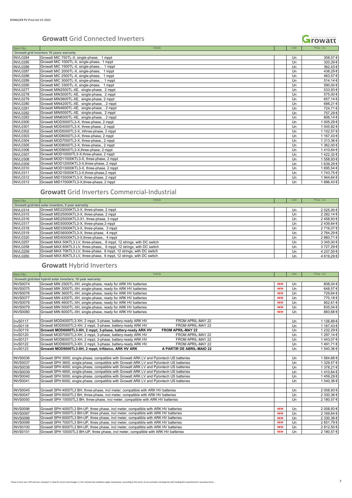#### **Growatt** Grid Connected Inverters



#### **Growatt** Grid Inverters Commercial-Industrial

| Item No.        | Article                                                                |  | Unit | Price Un.  |  |  |  |
|-----------------|------------------------------------------------------------------------|--|------|------------|--|--|--|
|                 | Growatt grid-tied solar inverters, 5 year warranty                     |  |      |            |  |  |  |
| <b>INVL0314</b> | Growatt MID22000KTL3-X, three-phase, 2 mppt                            |  | Un   | 2 025,00 € |  |  |  |
| <b>INVL0315</b> | Growatt MID25000KTL3-X, three-phase, 2 mppt                            |  | Un   | 2 282,14 € |  |  |  |
| INVL0316        | Growatt MID25000KTL3-X1, three-phase, 3 mppt                           |  | Un   | 2458,93€   |  |  |  |
| <b>INVL0317</b> | Growatt MID30000KTL3-X, three-phase, 3 mppt                            |  | Un   | 2 439,64 € |  |  |  |
| <b>INVL0318</b> | Growatt MID33000KTL3-X, three-phase, 3 mppt                            |  | Un   | 2716,07€   |  |  |  |
| <b>INVL0319</b> | Growatt MID36000KTL3-X, three-phase, 4 mppt                            |  | Un   | 2 764,29 € |  |  |  |
| <b>INVL0320</b> | Growatt MID40000KTL3-X, three-phase,, 4 mppt                           |  | Un   | 2 860,71 € |  |  |  |
| <b>INVL0257</b> | Growatt MAX 50KTL3 LV, three-phase, 6 mppt, 12 strings, with DC switch |  | Un   | 3 345,00 € |  |  |  |
| <b>INVL0258</b> | Growatt MAX 60KTL3 LV, three-phase, 6 mppt, 12 strings, with DC switch |  | Un   | 3 727,29 € |  |  |  |
| <b>INVL0259</b> | Growatt MAX 70KTL3 LV, three-phase, 6 mppt, 12 strings, with DC switch |  | Un   | 4 237,00 € |  |  |  |
| <b>INVL0260</b> | Growatt MAX 80KTL3 LV, three-phase, 6 mppt, 12 strings, with DC switch |  | Un   | 4 619,29 € |  |  |  |

#### **Growatt** Hybrid Inverters

| Item No.        | Article                                                                                   |            | Unit | Price Un.  |
|-----------------|-------------------------------------------------------------------------------------------|------------|------|------------|
|                 | Growatt grid-tied hybrid solar inverters, 10 year warranty                                |            |      |            |
| <b>INVS0074</b> | Growatt MIN 2500TL-XH, single-phase, ready for ARK HV batteries                           | <b>NEW</b> | Un   | 608,04€    |
| <b>INVS0075</b> | Growatt MIN 3000TL-XH, single-phase, ready for ARK HV batteries                           | <b>NEW</b> | Un   | 648,57€    |
| <b>INVS0076</b> | Growatt MIN 3600TL-XH, single-phase, ready for ARK HV batteries                           | <b>NEW</b> | Un   | 729,64€    |
| <b>INVS0077</b> | Growatt MIN 4200TL-XH, single-phase, ready for ARK HV batteries                           | <b>NEW</b> | Un   | 770,18€    |
| <b>INVS0078</b> | Growatt MIN 4600TL-XH, single-phase, ready for ARK HV batteries                           | <b>NEW</b> | Un   | 802,61€    |
| <b>INVS0079</b> | Growatt MIN 5000TL-XH, single-phase, ready for ARK HV batteries                           | <b>NEW</b> | Un   | 835,04 €   |
| <b>INVS0080</b> | Growatt MIN 6000TL-XH, single-phase, ready for ARK HV batteries                           | <b>NEW</b> | Un   | 883,68€    |
|                 |                                                                                           |            |      |            |
| <b>InvS0117</b> | Growatt MOD4000TL3-XH, 2 mppt, 3-phase, battery-ready ARK HV<br>FROM APRIL-MAY 22         |            | Un   | 1 126,89 € |
| <b>InvS0118</b> | Growatt MOD5000TL3-XH, 2 mppt, 3-phase, battery-ready ARK HV<br>FROM APRIL-MAY 22         |            | Un   | 1 167,43 € |
| <b>InvS0119</b> | <b>FROM APRIL-MAY 22</b><br>Growatt MOD6000TL3-XH, 2 mppt, 3-phase, battery-ready ARK HV  |            | Un   | 1 232,29 € |
| <b>InvS0120</b> | Growatt MOD7000TL3-XH, 2 mppt, 3-phase, battery-ready ARK HV<br>FROM APRIL-MAY 22         |            | Un   | 1 297,14 € |
| <b>InvS0121</b> | Growatt MOD8000TL3-XH, 2 mppt, 3-phase, battery-ready ARK HV<br>FROM APRIL-MAY 22         |            | Un   | 1443,07€   |
| <b>InvS0122</b> | Growatt MOD9000TL3-XH, 2 mppt, 3-phase, battery-ready ARK HV<br>FROM APRIL-MAY 22         |            | Un   | 1491,71€   |
| <b>InvS0123</b> | Growatt MOD9000TL3-XH, 2 mppt, trifásico, ARK HV ARK<br>A PARTIR DE ABRIL-MAIO 22         |            | Un   | 1540.36€   |
|                 |                                                                                           |            |      |            |
| <b>INVS0036</b> | Growatt SPH 3000, single-phase, compatible with Growatt ARK LV and Pylontech US batteries |            | Un   | 1 564,68 € |
| <b>INVS0037</b> | Growatt SPH 3600, single-phase, compatible with Growatt ARK LV and Pylontech US batteries |            | Un   | 1 329,57 € |
| <b>INVS0038</b> | Growatt SPH 4000, single-phase, compatible with Growatt ARK LV and Pylontech US batteries |            | Un   | 1 378,21 € |
| <b>INVS0039</b> | Growatt SPH 4600, single-phase, compatible with Growatt ARK LV and Pylontech US batteries |            | Un   | 1410.64€   |
| <b>INVS0040</b> | Growatt SPH 5000, single-phase, compatible with Growatt ARK LV and Pylontech US batteries |            | Un   | 1459,29€   |
| <b>INVS0041</b> | Growatt SPH 6000, single-phase, compatible with Growatt ARK LV and Pylontech US batteries |            | Un   | 1540,36€   |
|                 |                                                                                           |            |      |            |
| <b>INVS0045</b> | Growatt SPH 4000TL3 BH, three-phase, incl meter, compatible with ARK HV batteries         |            | Un   | 2 008,93 € |
| <b>INVS0047</b> | Growatt SPH 6000TL3 BH, three-phase, incl meter, compatible with ARK HV batteries         |            | Un   | 2 330,36 € |
| <b>INVS0050</b> | Growatt SPH 10000TL3 BH, three-phase, incl meter, compatible with ARK HV batteries        |            | Un   | 2 180,57 € |
|                 |                                                                                           |            |      |            |
| <b>INVS0096</b> | Growatt SPH 4000TL3 BH-UP, three phase, incl meter, compatible with ARK HV batteries      | <b>NEW</b> | Un   | 2 008,93 € |
| <b>INVS0097</b> | Growatt SPH 5000TL3 BH-UP, three phase, incl meter, compatible with ARK HV batteries      | <b>NEW</b> | Un   | 2 169,64 € |
| <b>INVS0098</b> | Growatt SPH 6000TL3 BH-UP, three phase, incl meter, compatible with ARK HV batteries      | <b>NEW</b> | Un   | 2 330,36 € |
| <b>INVS0099</b> | Growatt SPH 7000TL3 BH-UP, three phase, incl meter, compatible with ARK HV batteries      | <b>NEW</b> | Un   | 2 651,79€  |
| <b>INVS0100</b> | Growatt SPH 8000TL3 BH-UP, three phase, incl meter, compatible with ARK HV batteries      | <b>NEW</b> | Un   | 2 812,50 € |
| <b>INVS0101</b> | Growatt SPH 10000TL3 BH-UP, three phase, incl meter, compatible with ARK HV batteries     | <b>NEW</b> | Un   | 2 180,57 € |

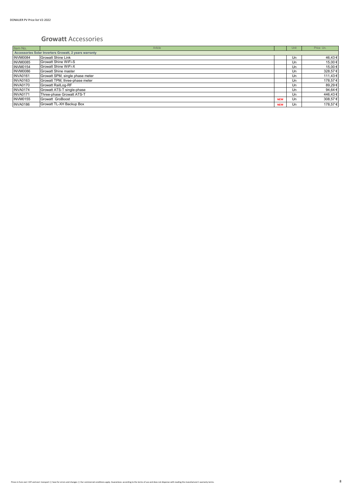#### **Growatt** Accessories

| Item No.                                              | Article                         |            | Unit | Price Un.   |
|-------------------------------------------------------|---------------------------------|------------|------|-------------|
| Accessories Solar Inverters Growatt, 2 years warranty |                                 |            |      |             |
| INVM0084                                              | <b>Growatt Shine Link</b>       |            | Un   | 46,43€      |
| <b>INVM0085</b>                                       | <b>Growatt Shine WiFi-S</b>     |            | Un   | 15.00 €     |
| <b>INVM0154</b>                                       | <b>Growatt Shine WiFi-X</b>     |            | Un   | 15,00 €     |
| INVM0086                                              | Growatt Shine master            |            | Un   | 328,57€     |
| <b>INVA0161</b>                                       | Growatt SPM, single phase meter |            | Un   | 111,43 €    |
| <b>INVA0163</b>                                       | Growatt TPM, three-phase meter  |            | Un   | 178,57€     |
| <b>INVA0170</b>                                       | Growatt RailLog-RF              |            | Un   | 89,29€      |
| <b>INVA0174</b>                                       | Growatt ATS-T single-phase      |            | Un   | 94,64 $\in$ |
| <b>INVA0171</b>                                       | Three-phase Growatt ATS-T       |            | Un   | 446,43€     |
| <b>INVM0155</b>                                       | Growatt GroBoost                | <b>NEW</b> | Un   | 308,57€     |
| <b>INVA0186</b>                                       | Growatt TL-XH Backup Box        | <b>NEW</b> | Un   | 178,57€     |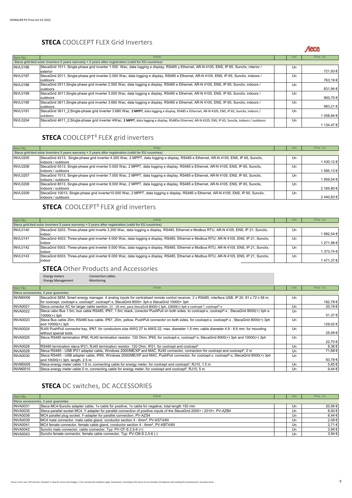#### **STECA** COOLCEPT FLEX Grid Inverters

#### Aeca

| Item No.        | Article                                                                                                                                                | Unit | Price Un.  |
|-----------------|--------------------------------------------------------------------------------------------------------------------------------------------------------|------|------------|
|                 | Steca grid-tied solar inverters 5 years warranty + 2 years after registration (valid for EU countries)                                                 |      |            |
| <b>INVL0186</b> | StecaGrid 1511, Single-phase grid inverter 1.500 Wac, data logging e display, RS485 y Ethernet, AR-N 4105, ENS, IP 65, Sunclix, interior /             | Un   |            |
|                 | exterior                                                                                                                                               |      | 721,93€    |
| <b>INVL0187</b> | StecaGrid 2011, Single-phase grid inverter 2.000 Wac, data logging e display, RS485 e Ethernet, AR-N 4105, ENS, IP 65, Sunclix, indoors /              | Un   |            |
|                 | outdoors                                                                                                                                               |      | 763,19€    |
| <b>INVL0188</b> | StecaGrid 2511, Single-phase grid inverter 2.500 Wac, data logging e display, RS485 e Ethernet, AR-N 4105, ENS, IP 65, Sunclix, indoors /              | Un   |            |
|                 | outdoors                                                                                                                                               |      | 831,94€    |
| <b>INVL0189</b> | StecaGrid 3011, Single-phase grid inverter 3.000 Wac, data logging e display, RS485 e Ethernet, AR-N 4105, ENS, IP 65, Sunclix, indoors /              | Un   |            |
|                 | outdoors                                                                                                                                               |      | 900,70€    |
| <b>INVL0190</b> | StecaGrid 3611, Single-phase grid inverter 3.680 Wac, data logging e display, RS485 e Ethernet, AR-N 4105, ENS, IP 65, Sunclix, indoors /              | Un   |            |
|                 | outdoors                                                                                                                                               |      | 983,21€    |
| <b>INVL0191</b> | StecaGrid 3611 2, Single-phase grid inverter 3.680 Wac, 2 MPPT, data logging e display, RS485 e Ethernet, AR-N 4105, ENS, IP 65, Sunclix, indoors /    | Un   |            |
|                 | outdoors                                                                                                                                               |      | 1 058,84 € |
| <b>INVL0204</b> | StecaGrid 4611 2, Single-phase grid inverter 4Wac, 2 MPPT, data logging e display, RS485e Ethernet, AR-N 4105, ENS, IP 65, Sunclix, indoors / outdoors | Un   |            |
|                 |                                                                                                                                                        |      | 1 134,47 € |

# **STECA** COOLCEPT<sup>3</sup> FLEX grid inverters

| Item No.        | Artigo                                                                                                                                   | Unit | Price Un.  |
|-----------------|------------------------------------------------------------------------------------------------------------------------------------------|------|------------|
|                 | Steca grid-tied solar inverters 5 years warranty + 2 years after registration (valid for EU countries)                                   |      |            |
| INVL0205        | StecaGrid 4213, Single-phase grid inverter 4.200 Wac, 2 MPPT, data logging e display, RS485 e Ethernet, AR-N 4105, ENS, IP 65, Sunclix,  | Un   |            |
|                 | indoors / outdoors                                                                                                                       |      | 1430,12€   |
| <b>INVL0206</b> | StecaGrid 5513, Single-phase grid inverter 5.500 Wac, 2 MPPT, data logging e display, RS485 e Ethernet, AR-N 4105, ENS, IP 65, Sunclix,  | Un   |            |
|                 | indoors / outdoors                                                                                                                       |      | 1 595,13 € |
| <b>INVL0207</b> | StecaGrid 7013, Single-phase grid inverter 7.000 Wac, 2 MPPT, data logging e display, RS485 e Ethernet, AR-N 4105, ENS, IP 65, Sunclix,  | Un   |            |
|                 | indoors / outdoors                                                                                                                       |      | 1 959,54 € |
| <b>INVL0208</b> | StecaGrid 8513, Single-phase grid inverter 8.000 Wac, 2 MPPT, data logging e display, RS485 e Ethernet, AR-N 4105, ENS, IP 65, Sunclix,  | Un   |            |
|                 | indoors / outdoors                                                                                                                       |      | 2 165,80 € |
| <b>INVL0209</b> | StecaGrid 10013, Single-phase grid inverter10.000 Wac, 2 MPPT, data logging e display, RS485 e Ethernet, AR-N 4105, ENS, IP 65, Sunclix, | Un   |            |
|                 | indoors / outdoors                                                                                                                       |      | 2440,83€   |

# **STECA** COOLCEPT<sup>3</sup> FLEX grid inverters

| Item No.        | Article                                                                                                                                    | Unit |    | Price Un.  |
|-----------------|--------------------------------------------------------------------------------------------------------------------------------------------|------|----|------------|
|                 | Steca grid-tied solar inverters 5 years warranty + 2 years after registration (valid for EU countries)                                     |      |    |            |
| INVL0140        | StecaGrid 3203, Three-phase grid inverte 3.200 Wac, data logging e display, RS485, Ethernet e Modbus RTU, AR-N 4105, ENS, IP 21, Sunclix,  |      | Un |            |
|                 | indoor                                                                                                                                     |      |    | 1 992,54 € |
| <b>INVL0141</b> | StecaGrid 4003, Three-phase grid inverter 4.000 Wac, data logging e display, RS485, Ethernet e Modbus RTU, AR-N 4105, ENS, IP 21, Sunclix, |      | Un |            |
|                 | indoor                                                                                                                                     |      |    | 1 271,98 € |
| <b>INVL0142</b> | StecaGrid 5003, Three-phase grid inverter 5.000 Wac, data logging e display, RS485, Ethernet e Modbus RTU, AR-N 4105, ENS, IP 21, Sunclix, |      | Un |            |
|                 | indoor                                                                                                                                     |      |    | 1 373,74 € |
| <b>INVL0143</b> | StecaGrid 6003, Three-phase grid inverter 6.000 Wac, data logging e display, RS485, Ethernet e Modbus RTU, AR-N 4105, ENS, IP 21, Sunclix, |      | Un |            |
|                 | indoor                                                                                                                                     |      |    | 1471,37€   |

# **STECA** Other Products and Accessories<br> **Example Accessories**<br> **Energy Management**<br> **Monitoring**

∙ Energy meters ∙ Connection cables ∙ Energy Management ∙ Monitoring

| Item No.        | Article                                                                                                                                                                                                                                                                  | Unit | Price Un.  |
|-----------------|--------------------------------------------------------------------------------------------------------------------------------------------------------------------------------------------------------------------------------------------------------------------------|------|------------|
|                 | Steca accessories, 2 year guarantee                                                                                                                                                                                                                                      |      |            |
| INVM0006        | StecaGrid SEM, Smart energy manager, 4 analog inputs for centralised remote control receiver, 2 x RS485, interface USB, IP 20, 91 x 72 x 58 m,<br>for coolcept, coolcept-x, coolcept <sup>3</sup> , coolcept <sup>3</sup> -x, StecaGrid 8000+ 3ph e StecaGrid 10000+ 3ph | Un   | 182,78€    |
| <b>INVA0021</b> | Steca conector AC for larger cable section, 13 - 18 mm, para StecaGrid 8000(+) 3ph, 10000(+) 3ph e coolcept <sup>3</sup> , coolcept <sup>3</sup> -x                                                                                                                      | Un   | 20,19€     |
| <b>INVA0022</b> | Steca cabo Bus 1.5m, bus cable RS485, IP67, 1.5m, black, conector PushPull on both sides, to coolcept-x, coolcept <sup>3</sup> -x, StecaGrid 8000(+) 3ph e<br>10000(+) 3ph                                                                                               | Un   | 51,37€     |
| <b>INVA0023</b> | Steca Bus cable 20m, RS485 bus cable, IP67, 20m, yellow, PushPull connector on both sides, for coolcept-x, coolcept <sup>3</sup> -x, StecaGrid 8000(+) 3ph<br>and $10000(+)$ 3ph                                                                                         | Un   | 129,02€    |
| <b>INVA0024</b> | RJ45 PushPull connector key, IP67, for conductors size AWG 27 to AWG 22, max. diameter 1.5 mm, cable diameter 4.9 - 8.6 mm, for mounting<br>without special tools                                                                                                        | Un   | 25,09€     |
| <b>INVA0025</b> | Steca RS485 termination IP65, RJ45 termination resistor, 120 Ohm, IP65, for coolcept-x, coolcept <sup>3</sup> -x, StecaGrid 8000(+) 3ph and 10000(+) 3ph                                                                                                                 | Un   | 22,70€     |
| <b>INVA0026</b> | RS485 termination steca IP21, RJ45 termination resistor, 120 Ohm, IP21, for coolcept and coolcept <sup>3</sup>                                                                                                                                                           | Un   | 8,36€      |
| <b>INVA0028</b> | Steca RS485 - USB IP21 adapter cable, Windows 2000/ME/XP and MAC, RJ45 connector, connection for coolcept and coolcept <sup>3</sup> , 2 m                                                                                                                                | Un   | 71,68€     |
| <b>INVA0030</b> | Steca RS485 - USB adapter cable, IP65, Windows 2000/ME/XP and MAC, PushPull connector, for coolcept-x, coolcept <sup>3</sup> -x, StecaGrid 8000(+) 3ph<br>and 10000(+) 3ph. length, 2.5 m                                                                                | Un   | 93,78€     |
| <b>INVM0009</b> | Steca energy meter cable 1.5 m, connecting cable for energy meter, for coolcept and coolcept <sup>3</sup> , RJ10, 1.5 m                                                                                                                                                  | Un   | 5,85€      |
| <b>INVM0010</b> | Steca energy meter cable 5 m, connecting cable for energy meter, for coolcept and coolcept <sup>3</sup> , RJ10, 5 m                                                                                                                                                      | Un   | $9,44 \in$ |

# **STECA** DC switches, DC ACCESSORIES

| Item No.        | Article                                                                                                                 | Unit | Price Un. |
|-----------------|-------------------------------------------------------------------------------------------------------------------------|------|-----------|
|                 | Steca accessories, 2 year guarantee                                                                                     |      |           |
| <b>INVA0031</b> | Steca MC4-Sunclix adapter cable, 1x cable for positive, 1x cable for negative, total length 150 mm                      | Un   | 20,95 €   |
| <b>INVA0035</b> | Steca parallel socket MC4, Y-adapter for parallel connection of positive inputs of the StecaGrid 2000+ / 2010+, PV-AZB4 | Un   | 8,50€     |
| <b>INVA0038</b> | MC4 parallel plug socket, Y-adapter for parallel connection, PV-AZS4                                                    | Un   | 8,44 €    |
| <b>INVA0039</b> | MC4 male connector, male cable gland, conductor section 4 - 6mm <sup>2</sup> , PV-KST4/6II                              | Un   | 2,09€     |
| <b>INVA0041</b> | MC4 female connector, female cable gland, conductor section 4 - 6mm <sup>2</sup> , PV-KBT4/6II                          | Un   | 2,71€     |
| <b>INVA0042</b> | Sunclix male connector, cable connector, Typ: PV-CF-S 2,5-6 (+)                                                         | Un   | 3,94 €    |
| <b>INVA0043</b> | Sunclix female connector, female cable connector, Typ: PV-CM-S 2,5-6 (-)                                                | Un   | 3,94 €    |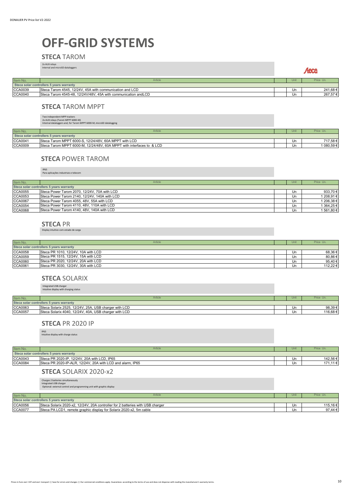# **OFF-GRID SYSTEMS**

#### **STECA** TAROM

|                | 2x AUX relays<br>Internal and microSD dataloggers               |      | Aeca      |
|----------------|-----------------------------------------------------------------|------|-----------|
| Item No.       | Article                                                         | Unit | Price Un. |
|                | Steca solar controllers 5 years warranty                        |      |           |
| <b>CCA0039</b> | Steca Tarom 4545, 12/24V, 45A with communication and LCD        | Un   | 241,68€   |
| <b>CCA0040</b> | Steca Tarom 4545-48, 12/24V/48V, 45A with communication and LCD | Un   | 267,57€   |

#### **STECA** TAROM MPPT

Two independent MPP trackers 2x AUX relays (Tarom MPPT 6000-M) Internal dataloggers and, for Tarom MPPT 6000-M, microSD datalogging

|                                          | <b>Internal advanced city and for targin it is the code its, mucrose advanced in</b> |  |      |            |  |
|------------------------------------------|--------------------------------------------------------------------------------------|--|------|------------|--|
| Item No.                                 | Article                                                                              |  | Unit | Price Un.  |  |
| Steca solar controllers 5 years warranty |                                                                                      |  |      |            |  |
| CCA0041                                  | Steca Tarom MPPT 6000-S, 12/24/48V, 60A MPPT with LCD                                |  | Un   | 717.58€    |  |
| CCA0009                                  | Steca Tarom MPPT 6000-M, 12/24/48V, 60A MPPT with interfaces to & LCD                |  | Un   | 1 080,59 € |  |

#### **STECA** POWER TAROM

IP65 Para aplicações industriais e telecom

| Item No.       | Article                                       | Unit | Price Un.  |
|----------------|-----------------------------------------------|------|------------|
|                | Steca solar controllers 5 years warranty      |      |            |
| <b>CCA0055</b> | Steca Power Tarom 2070, 12/24V, 70A with LCD  | Un   | 933,70 €   |
| <b>CCA0053</b> | Steca Power Tarom 2140, 12/24V, 140A with LCD | Un   | 1 208.91 € |
| <b>CCA0067</b> | Steca Power Tarom 4055, 48V, 55A with LCD     | Un   | 1 206,38 € |
| <b>CCA0054</b> | Steca Power Tarom 4110, 48V, 110A with LCD    | Un   | 1 364,25 € |
| <b>CCA0068</b> | Steca Power Tarom 4140, 48V, 140A with LCD    | Un   | 1 561,80 € |

#### **STECA** PR

Display intuitivo com estado de carga

| Item No.       | Article                                  |  | Unit | Price Un. |  |
|----------------|------------------------------------------|--|------|-----------|--|
|                | Steca solar controllers 5 years warranty |  |      |           |  |
| <b>CCA0058</b> | Steca PR 1010, 12/24V, 10A with LCD      |  | Un   | 68,36 €   |  |
| <b>CCA0059</b> | Steca PR 1515, 12/24V, 15A with LCD      |  | Un   | 80,86 €   |  |
| <b>CCA0060</b> | Steca PR 2020, 12/24V, 20A with LCD      |  | Un   | 95,40 €   |  |
| CCA0061        | Steca PR 3030, 12/24V, 30A with LCD      |  | Un   | 112.22 €  |  |

#### **STECA** SOLARIX

Integrated USB charger Intuitive display with charging status

| Item No.                                 | Article                                               |  | Unit | Price Un. |
|------------------------------------------|-------------------------------------------------------|--|------|-----------|
| Steca solar controllers 5 years warranty |                                                       |  |      |           |
| CCA0063                                  | Steca Solarix 2525, 12/24V, 25A, USB charger with LCD |  | Un   | 98.39€    |
| CCA0057                                  | Steca Solarix 4040, 12/24V, 40A, USB charger with LCD |  | Un   | 116.68€   |

#### **STECA** PR 2020 IP

IP65 Intuitive display with charge status

| Item No.       | Article                                                    | Unit | Price Un. |
|----------------|------------------------------------------------------------|------|-----------|
|                | Steca solar controllers 5 years warranty                   |      |           |
| <b>CCA0043</b> | Steca PR 2020-IP, 12/24V, 20A with LCD, IP65               | Un   | 142.56 €  |
| <b>CCA0084</b> | Steca PR 2020-IP-ALR, 12/24V, 20A with LCD and alarm, IP65 | Un   | 171.11€   |

#### **STECA** SOLARIX 2020-x2

Charges 2 batteries simultaneously Integrated USB charger Optional: external control and programming unit with graphic display

| Item No.       | Article                                                                        | Unit | Price Un. |
|----------------|--------------------------------------------------------------------------------|------|-----------|
|                | Steca solar controllers 5 years warranty                                       |      |           |
| <b>CCA0056</b> | Steca Solarix 2020-x2, 12/24V, 20A controller for 2 batteries with USB charger | Un   | 115.16€   |
| <b>CCA0077</b> | Steca PA LCD1, remote graphic display for Solarix 2020-x2, 5m cable            | Un   | 97.44 €   |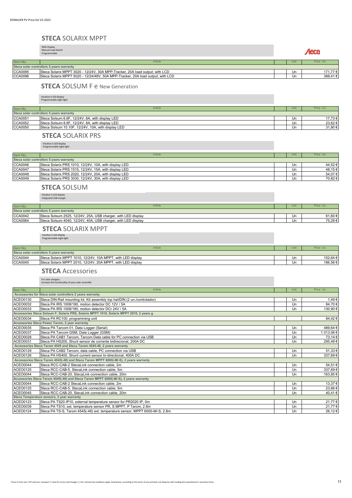#### **STECA** SOLARIX MPPT

With Display Manual Load Switch Programmable

Aeca

| Item No. | Article                                                                         | Unit | Price Un. |
|----------|---------------------------------------------------------------------------------|------|-----------|
|          | Steca solar controllers 5 years warranty                                        |      |           |
| CCA0095  | Steca Solarix MPPT 3020 - 12/24V, 30A MPP-Tracker, 20A load output, with LCD    | Un   | 71.77 €   |
| CCA0096  | Steca Solarix MPPT 5020 - 12/24/48V, 50A MPP-Tracker, 20A load output, with LCD | Un   | 388.41€   |
|          |                                                                                 |      |           |

#### **STECA** SOLSUM F e New Generation

Intuitive 4-LED display Programmable night light

| Item No.       | Article                                            | Uni | Price Un. |
|----------------|----------------------------------------------------|-----|-----------|
|                | Steca solar controllers 5 years warranty           |     |           |
| CCA0051        | Steca Solsum 6.6F, 12/24V, 6A, with display LED    | Un  | 17.73 €   |
| <b>CCA0052</b> | Steca Solsum 8.8F, 12/24V, 8A, with display LED    | Un  | 23.62 €   |
| <b>CCA0050</b> | Steca Solsum 10.10F, 12/24V, 10A, with display LED | Un  | 31,80 €   |

#### **STECA** SOLARIX PRS

Intuitive 5-LED display Programmable night light

| Item No.       | Article                                               | Unit | Price Un. |
|----------------|-------------------------------------------------------|------|-----------|
|                | Steca solar controllers 5 years warranty              |      |           |
| <b>CCA0046</b> | Steca Solarix PRS 1010, 12/24V, 10A, with display LED | Un   | 44,52 €   |
| <b>CCA0047</b> | Steca Solarix PRS 1515, 12/24V, 15A, with display LED | Un   | 48.15 €   |
| <b>CCA0048</b> | Steca Solarix PRS 2020, 12/24V, 20A, with display LED | Un   | 54,07 €   |
| <b>CCA0049</b> | Steca Solarix PRS 3030, 12/24V, 30A, with display LED | Un   | 70,82 €   |

#### **STECA** SOLSUM

Intuitive 5-LED display Integrated USB charger

| Un | 61.60 € |
|----|---------|
| Un | 75.29 € |
|    |         |

#### **STECA** SOLARIX MPPT

Intuitive 5-LED display Programmable night light

| Item No.       | Article                                                     | Unit | Price Un |
|----------------|-------------------------------------------------------------|------|----------|
|                | Steca solar controllers 5 years warranty                    |      |          |
| <b>CCA0044</b> | Steca Solarix MPPT 1010, 12/24V, 10A MPPT, with LED display | Un   | 152.64 € |
| <b>CCA0045</b> | Steca Solarix MPPT 2010, 12/24V, 20A MPPT, with LED display | Un   | 186.56 € |

#### **STECA** Accessories

For solar chargers increase the functionality of your solar controller

| Item No.        | Article                                                                                  | Unit | Price Un.  |
|-----------------|------------------------------------------------------------------------------------------|------|------------|
|                 | Accessories for Steca solar controllers 2 years warranty                                 |      |            |
| ACEO0130        | Steca DIN-Rail mounting kit, Kit assembly top hat/DIN (2 un./controlador)                | Un   | 1,49€      |
| ACEO0032        | Steca PA IRS 1008/180, motion detector DC 12V / 5A                                       | Un   | 84,70€     |
| ACEO0033        | Steca PA IRS 1008/180, motion detector DCr 24V / 5A                                      | Un   | 130,90€    |
|                 | Accessories Steca Solsum F, Solarix PRS, Solarix MPPT 1010, Solarix MPPT 2010, 2 years g |      |            |
| ACEO0034        | Steca PA RC100, programming unit                                                         |      | 84,42€     |
|                 | Accessories Steca Power Tarom, 2 year warranty                                           |      |            |
| ACEO0035        | Steca PA Tarcom 01, Data Logger (Serial)                                                 | Un   | 489,64 €   |
| <b>ACEO0037</b> | Steca PA Tarcom GSM, Data Logger (GSM)                                                   | Un   | 1 013,06 € |
| ACEO0028        | Steca PA CAB1 Tarcom, Tarcom Data cable for PC connection via USB                        | Un   | 73,14 €    |
| ACEO0031        | Steca PA HS200. Shunt sensor de corrente bidirecional, 200A DC                           | Un   | 295,48€    |
|                 | Accessories Steca Tarom 4545 and Steca Tarom 4545-48, 2 years warranty                   |      |            |
| ACEO0129        | Steca PA CAB2 Tarcom, data cable, PC connection via USB                                  | Un   | 51,33€     |
| ACEO0126        | Steca PA HS400, Shunt current sensor bi-directional, 400A DC                             | Un   | 337,69€    |
|                 | Accessories Steca Tarom 4545(-48) and Steca Tarom MPPT 6000(-M/-S), 2 years warranty     |      |            |
| ACEO0044        | Steca RCC-CAB-2 StecaLink connection cable, 2m                                           | Un   | 54,51€     |
| <b>ACEO0125</b> | Steca RCC-CAB-5, StecaLink connection cable, 5m                                          | Un   | 337,69€    |
| ACEO0044        | Steca RCC-CAB-20. StecaLink connection cable, 20m                                        | Un   | 163,85€    |
|                 | Accessories Steca Tarom 4545(-48) and Steca Tarom MPPT 6000(-M/-S), 2 years warranty     |      |            |
| ACEO0044        | Steca RCC-CAB-2 StecaLink connection cable, 2m                                           | Un   | 13,37€     |
| <b>ACEO0125</b> | Steca RCC-CAB-5, StecaLink connection cable, 5m                                          | Un   | 23,66€     |
| ACEO0045        | Steca RCC-CAB-20, StecaLink connection cable, 20m                                        | Un   | 40,41€     |
|                 | Steca Temperature sensors, 2 year warranty                                               |      |            |
| <b>ACEO0123</b> | Steca PA TS20 IP10, external temperature sensor for PR2020 IP, 0m                        | Un   | 21,77€     |
| ACEO0039        | Steca PA TS10, ext. temperature sensor PR, S MPPT, P Tarom, 2.8m                         | Un   | 21,77€     |
| <b>ACEO0124</b> | Steca PA TS-S, Tarom 4545(-48) ext. temperature sensor, MPPT 6000-M/-S, 2.8m             | Un   | 26,12€     |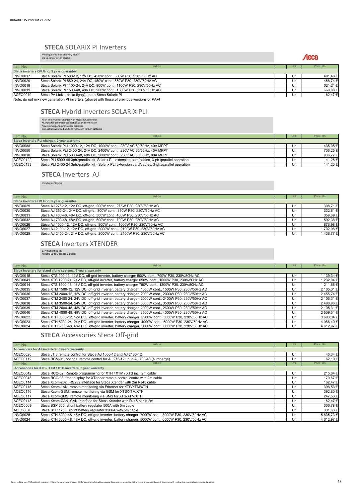#### **STECA** SOLARIX PI Inverters

#### Very high efficiency and very robust Up to 4 inverters in parallel

|                 | op to 4 inverters in paralier                                                                |      | <i><b>STATE</b></i> |
|-----------------|----------------------------------------------------------------------------------------------|------|---------------------|
| Item No.        | Article                                                                                      | Unit | Price Un.           |
|                 | Steca inverters Off Grid, 5 year guarantee                                                   |      |                     |
| <b>INVO0017</b> | Steca Solarix PI 500-12, 12V DC, 450W cont., 500W P30, 230V/50Hz AC                          | Un   | 401,40€             |
| <b>INVO0020</b> | Steca Solarix PI 550-24, 24V DC, 450W cont., 550W P30, 230V/50Hz AC                          | Un   | 458,74€             |
| <b>INVO0018</b> | Steca Solarix PI 1100-24, 24V DC, 900W cont., 1100W P30, 230V/50Hz AC                        | Un   | 621,21€             |
| <b>INVO0019</b> | Steca Solarix PI 1500-48, 48V DC, 900W cont., 1500W P30, 230V/50Hz AC                        | Un   | 669,00€             |
| ACEO0019        | Steca PA Link1, caixa ligação para Steca Solarix Pl                                          | Un   | 162.47€             |
|                 | Note: do not mix new generation PI inverters (above) with those of previous versions or PAx4 |      |                     |

#### **STECA** Hybrid Inverters SOLARIX PLI

All-in-one: Inverter Charger with MppT 80A controller AC input for generator connection or grid connection Programming of power source priorities Compatible with lead acid and Pylontech lithium batteries

| Item No.        | Article                                                                                           | Unit | Price Un. |
|-----------------|---------------------------------------------------------------------------------------------------|------|-----------|
|                 | Steca inverters PLI charger, 2 year warranty                                                      |      |           |
| <b>INVO0088</b> | Steca Solarix PLI 1000-12, 12V DC, 1000W cont., 230V AC 50/60Hz, 40A MPPT                         | Un   | 435,05€   |
| <b>INVO0050</b> | Steca Solarix PLI 2400-24, 24V DC, 2400W cont., 230V AC 50/60Hz, 40A MPPT                         | Un   | 706,25€   |
| <b>INVO0010</b> | Steca Solarix PLI 5000-48, 48V DC, 5000W cont., 230V AC 50/60Hz, 80A MPPT                         | Un   | 936,77€   |
| <b>ACEO0122</b> | Steca PLI 5000-48 3ph./parallel kit, Solarix PLI extension card/cables, 3-ph./parallel operation  | Un   | 141,25 €  |
| ACEO0133        | Steca PLI 2400-24 3ph./parallel kit - Solarix PLI extension card/cables, 3-ph./parallel operation | Un   | 141,25 €  |

#### **STECA** Inverters AJ

Very high efficiency

| Price Un.<br>Item No.<br>Article<br>Unit<br>Steca inverters Off Grid, 5 year guarantee<br>Steca AJ 275-12, 12V DC, off-grid, 200W cont., 275W P30, 230V/50Hz AC<br><b>INVO0029</b><br>Un<br><b>INVO0030</b><br>Steca AJ 350-24, 24V DC, off-grid., 300W cont., 350W P30, 230V/50Hz AC<br>Un<br><b>INVO0031</b><br>Steca AJ 400-48, 48V DC, off-grid, 300W cont., 400W P30, 230V/50Hz AC<br>Un<br><b>INVO0032</b><br>Steca AJ 700-48, 48V DC, off-grid, 500W cont., 700W P30, 230V/50Hz AC<br>Un<br><b>INVO0026</b><br>Steca AJ 1000-12, 12V DC, off-grid, 800W cont., 1000W P30, 230V/50Hz AC<br>Un<br><b>INVO0027</b><br>Steca AJ 2100-12, 12V DC, off-grid, 2000W cont., 2100W P30, 230V/50Hz AC<br>Un<br>Steca AJ 2400-24, 24V DC, off-grid, 2000W cont., 2400W P30, 230V/50Hz AC<br><b>INVO0028</b><br>Un |  |  |          |
|---------------------------------------------------------------------------------------------------------------------------------------------------------------------------------------------------------------------------------------------------------------------------------------------------------------------------------------------------------------------------------------------------------------------------------------------------------------------------------------------------------------------------------------------------------------------------------------------------------------------------------------------------------------------------------------------------------------------------------------------------------------------------------------------------------------|--|--|----------|
|                                                                                                                                                                                                                                                                                                                                                                                                                                                                                                                                                                                                                                                                                                                                                                                                               |  |  |          |
|                                                                                                                                                                                                                                                                                                                                                                                                                                                                                                                                                                                                                                                                                                                                                                                                               |  |  |          |
|                                                                                                                                                                                                                                                                                                                                                                                                                                                                                                                                                                                                                                                                                                                                                                                                               |  |  | 308,71€  |
|                                                                                                                                                                                                                                                                                                                                                                                                                                                                                                                                                                                                                                                                                                                                                                                                               |  |  | 332,81€  |
|                                                                                                                                                                                                                                                                                                                                                                                                                                                                                                                                                                                                                                                                                                                                                                                                               |  |  | 359,69€  |
|                                                                                                                                                                                                                                                                                                                                                                                                                                                                                                                                                                                                                                                                                                                                                                                                               |  |  | 592,38€  |
|                                                                                                                                                                                                                                                                                                                                                                                                                                                                                                                                                                                                                                                                                                                                                                                                               |  |  | 876,98€  |
|                                                                                                                                                                                                                                                                                                                                                                                                                                                                                                                                                                                                                                                                                                                                                                                                               |  |  | 1702,98€ |
|                                                                                                                                                                                                                                                                                                                                                                                                                                                                                                                                                                                                                                                                                                                                                                                                               |  |  | 1438,77€ |

#### **STECA** Inverters XTENDER

Very high efficiency Pairable up to 9 pcs. (tb 3-phase)

| Item No.                                                  | Article                                                                                             |  | Unit | Price Un.  |
|-----------------------------------------------------------|-----------------------------------------------------------------------------------------------------|--|------|------------|
| Steca inverters for stand alone systems, 5 years warranty |                                                                                                     |  |      |            |
| <b>INVO0015</b>                                           | Steca XTS 900-12, 12V DC, off-grid inverter, battery charger 500W cont., 700W P30, 230V/50Hz AC     |  | Un   | 139,34 €   |
| <b>INVO0041</b>                                           | Steca XTS 1200-24, 24V DC, off-grid inverter, battery charger 650W cont., 1000W P30, 230V/50Hz AC   |  | Un   | 1 232,04 € |
| <b>INVO0014</b>                                           | Steca XTS 1400-48, 48V DC, off-grid inverter, battery charger 750W cont., 1200W P30, 230V/50Hz AC   |  | Un   | 1 211,65 € |
| <b>INVO0035</b>                                           | Steca XTM 1500-12, 12V DC, off-grid inverter, battery charger, 1500W cont., 1500W P30, 230V/50Hz AC |  | Un   | 2 105,31 € |
| <b>INVO0036</b>                                           | Steca XTM 2000-12, 12V DC, off-grid inverter, battery charger, 2000W cont., 2000W P30, 230V/50Hz AC |  | Un   | 2455,74€   |
| <b>INVO0037</b>                                           | Steca XTM 2400-24, 24V DC, off-grid inverter, battery charger, 2000W cont., 2400W P30, 230V/50Hz AC |  | Un   | 2 105,31 € |
| <b>INVO0038</b>                                           | Steca XTM 3500-24, 24V DC, off-grid inverter, battery charger, 3000W cont., 3500W P30, 230V/50Hz AC |  | Un   | 2490,96€   |
| <b>INVO0039</b>                                           | Steca XTM 2600-48, 48V DC, off-grid inverter, battery charger, 2000W cont., 2600W P30, 230V/50Hz AC |  | Un   | 2 105,31 € |
| <b>INVO0040</b>                                           | Steca XTM 4000-48, 48V DC, off-grid inverter, battery charger, 3500W cont., 4000W P30, 230V/50Hz AC |  | Un   | 2 509,51 € |
| <b>INVO0022</b>                                           | Steca XTH 3000-12, 12V DC, off-grid inverter, battery charger, 2500W cont., 3000W P30, 230V/50Hz AC |  | Un   | 3 693.34 € |
| <b>INVO0023</b>                                           | Steca XTH 5000-24, 24V DC, off-grid inverter, battery charger, 4000W cont., 5000W P30, 230V/50Hz AC |  | Un   | 4 086,40 € |
| <b>INVO0024</b>                                           | Steca XTH 6000-48, 48V DC, off-grid inverter, battery charger, 5000W cont., 6000W P30, 230V/50Hz AC |  | Un   | 4 612,97 € |

#### **STECA** Accessories Steca Off-grid

| Item No.        | Article                                                                                             |  | Unit | Price Un.  |  |  |  |
|-----------------|-----------------------------------------------------------------------------------------------------|--|------|------------|--|--|--|
|                 | Accessories for AJ inverters, 5 years warranty                                                      |  |      |            |  |  |  |
| ACEO0026        | Steca JT 8, remote control for Steca AJ 1000-12 and AJ 2100-12                                      |  | Un   | 45,34 €    |  |  |  |
| <b>ACEO0112</b> | Steca RCM-01, optional remote control for AJ 275-12 up to AJ 700-48 (surcharge)                     |  | Un   | 62,10€     |  |  |  |
| Item No.        | Article                                                                                             |  | Unit | Price Un.  |  |  |  |
|                 | Accessories for XTS / XTM / XTH inverters, 5 year warranty                                          |  |      |            |  |  |  |
| <b>ACEO0042</b> | Steca RCC-02, Remote programming for XTH / XTM / XTS incl. 2m cable                                 |  | Un   | 215,04 €   |  |  |  |
| ACEO0043        | Steca RCC-03, front display for XTender remote control centre with 2m cable                         |  | Un   | 179,67€    |  |  |  |
| <b>ACEO0114</b> | Steca Xcom-232i, RS232 interface for Steca Xtender with 2m RJ45 cable                               |  | Un   | 162,47€    |  |  |  |
| <b>ACEO0115</b> | Steca Xcom-LAN, remote monitoring via Ethernet for XTS/XTM/XTH                                      |  | Un   | 398,53€    |  |  |  |
| <b>ACEO0116</b> | Steca Xcom-GSM, remote monitoring via GSM for XTS/XTM/XTH                                           |  | Un   | 392,80€    |  |  |  |
| <b>ACEO0117</b> | Steca Xcom-SMS, remote monitoring via SMS for XTS/XTM/XTH                                           |  | Un   | 247,53€    |  |  |  |
| <b>ACEO0118</b> | Steca Xcom-CAN, CAN interface for Steca Xtender with RJ45 cable 2m                                  |  | Un   | 162,47€    |  |  |  |
| ACEO0069        | Steca BSP 500, shunt battery regulator 500A with 5m cable                                           |  | Un   | 306,78€    |  |  |  |
| <b>ACEO0070</b> | Steca BSP 1200, shunt battery regulator 1200A with 5m cable                                         |  | Un   | 331,63€    |  |  |  |
| <b>INVO0025</b> | Steca XTH 8000-48, 48V DC, off-grid inverter, battery charger, 7000W cont., 8000W P30, 230V/50Hz AC |  | Un   | 5 835,73 € |  |  |  |
| <b>INVO0024</b> | Steca XTH 6000-48, 48V DC, off-grid inverter, battery charger, 5000W cont., 6000W P30, 230V/50Hz AC |  | Un.  | 4 612,97 € |  |  |  |

Aeca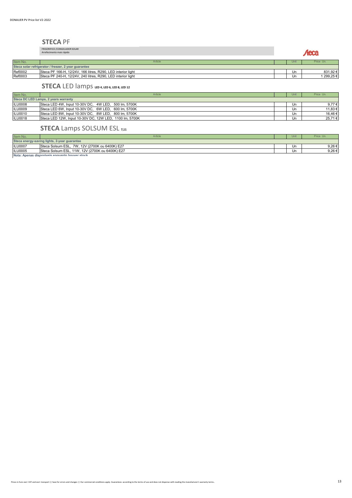#### **STECA** PF

FRIGORIFICO /CONGELADOR SOLAR Arrefecimento mais rápido

Aeca

| Item No.                                             | Article                                                      |  | Unit | Price Un.  |  |
|------------------------------------------------------|--------------------------------------------------------------|--|------|------------|--|
| Steca solar refrigerator / freezer, 2 year guarantee |                                                              |  |      |            |  |
| Ref0002                                              | Steca PF 166-H, 12/24V, 166 litres, R290, LED interior light |  | Un   | 831.92€    |  |
| Ref0003                                              | Steca PF 240-H, 12/24V, 240 litres, R290, LED interior light |  | Un   | 1 299.25 € |  |
|                                                      |                                                              |  |      |            |  |

#### **STECA** LED lamps **LED**  $\frac{1}{2}$  LED **6**, LED 8, LED 12

| Item No.       | Article                                                 |  | Unit | Price Un.  |  |
|----------------|---------------------------------------------------------|--|------|------------|--|
|                | Steca DC LED Lamps, 2 years warranty                    |  |      |            |  |
| <b>ILU0008</b> | Steca LED 4W, Input 10-30V DC, 4W LED, 500 Im, 5700K    |  | Un   | 9.77 $\in$ |  |
| <b>ILU0009</b> | Steca LED 6W, Input 10-30V DC, 6W LED, 600 Im, 5700K    |  | Un   | 11.83 €    |  |
| <b>ILU0010</b> | Steca LED 8W, Input 10-30V DC, 8W LED, 800 Im, 5700K    |  | Un   | 16.46 €    |  |
| <b>ILU0018</b> | Steca LED 12W, Input 10-30V DC, 12W LED, 1100 Im, 5700K |  | Un   | 25,71 €    |  |

#### **STECA** Lamps SOLSUM ESL 7,11

| Item No.                                       | Article                                         |  | Uni | Price Un. |
|------------------------------------------------|-------------------------------------------------|--|-----|-----------|
|                                                | Steca energy-saving lights, 2-year guarantee    |  |     |           |
| <b>ILU0007</b>                                 | Steca Solsum ESL, 7W, 12V (2700K ou 6400K) E27  |  | Un  | 9,26€     |
| <b>ILU0005</b>                                 | Steca Solsum ESL, 11W, 12V (2700K ou 6400K) E27 |  | Un  | 9.26€     |
| Nota: Apenas disponivole onguanto houver etonk |                                                 |  |     |           |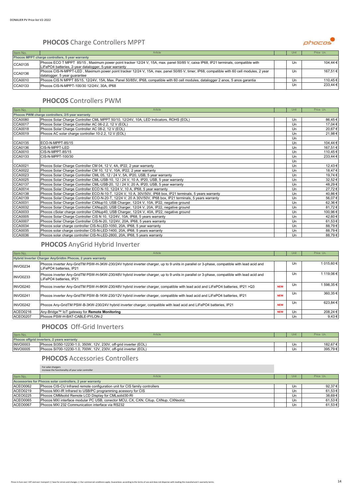#### **PHOCOS** Charge Controllers MPPT



| Item No.       | Article                                                                                                                                   | Unit | Price Un. |
|----------------|-------------------------------------------------------------------------------------------------------------------------------------------|------|-----------|
|                | Phocos MPPT charge controllers, 5 year warranty                                                                                           |      |           |
| CCA0135        | Phocos ECO T MPPT 85/15, Maximum power point tracker 12/24 V, 15A, max. panel 50/85 V, caixa IP68, IP21 terminals, compatible with        | Un   | 104,44 €  |
|                | LiFePO4 batteries, 2-year datalogger, 5-year warranty                                                                                     |      |           |
| CCA0136        | Phocos CIS-N-MPPT-LED, Maximum power point tracker 12/24 V, 15A, max. panel 50/85 V, timer, IP68, compatible with 60 cell modules, 2 year | Un   | 167.51 €  |
|                | datalogger, 5 year quarantee                                                                                                              |      |           |
| <b>CCA0010</b> | Phocos CIS N MPPT 85/15, 12/24V, 15A, Max. Panel 50/85V, IP68, compatible with 60 cell modules, datalogger 2 anos, 5 anos garantia        | Un   | 110,45 €  |
| CCA0133        | Phocos CIS-N-MPPT-100/30 12/24V, 30A, IP68                                                                                                | Un   | 233,44 €  |

#### **PHOCOS** Controllers PWM

| Item No.       | Article                                                                                                       | Unit | Price Un. |
|----------------|---------------------------------------------------------------------------------------------------------------|------|-----------|
|                | Phocos PWM charge controllers, 2/5 year warranty                                                              |      |           |
| <b>CCA0080</b> | Phocos Solar Charge Controller CML MPPT 50/10, 12/24V, 10A, LED Indicators, ROHS (EOL)                        | Un   | 86,45€    |
| CCA0017        | Phocos Solar Charge Controller AC 06-2.2, 12 V (EOL)                                                          | Un   | 17,04 €   |
| <b>CCA0018</b> | Phocos Solar Charge Controller AC 08-2, 12 V (EOL)                                                            | Un   | 20,67€    |
| <b>CCA0019</b> | Phocos AC solar charge controller 10-2.2, 12 V (EOL)                                                          | Un   | 21,98€    |
|                |                                                                                                               | Un   |           |
| CCA0135        | ECO-N-MPPT-85/15                                                                                              | Un   | 104,44 €  |
| CCA0136        | CIS-N-MPPT-LED                                                                                                | Un   | 167,51€   |
| CCA0010        | CIS-N-MPPT-85/15                                                                                              | Un   | 110,45€   |
| CCA0133        | CIS-N-MPPT-100/30                                                                                             | Un   | 233,44 €  |
|                |                                                                                                               | Un   |           |
| CCA0021        | Phocos Solar Charge Controller CM 04, 12 V, 4A, IP22, 2 year warranty                                         | Un   | 12,43 €   |
| <b>CCA0022</b> | Phocos Solar Charge Controller CM 10, 12 V, 10A, IP22, 2 year warranty                                        | Un   | 18,47€    |
| CCA0023        | Phocos Solar Charge Controller CML 05, 12 / 24 V, 5A, IP20, USB, 5 year warranty                              | Un   | 19,74€    |
| <b>CCA0025</b> | Phocos Solar Charge Controller CML-USB-10, 12 / 24 V, 10 A, IP20, USB, 5 year warranty                        | Un   | 32,52€    |
| CCA0137        | Phocos Solar Charge Controller CML-USB-20, 12 / 24 V, 20 A, IP20, USB, 5 year warranty                        | Un   | 48,29€    |
| <b>CCA0014</b> | Phocos Solar Charge Controller ECO N-10, 12/24 V, 10 A, IP68, 5 year warranty                                 | Un   | 27,72€    |
| <b>CCA0138</b> | Phocos Solar Charge Controller ECO-N-10-T, 12/24 V, 10 A, 30V/50V, IP68 box, IP21 terminals, 5 years warranty | Un   | 40,86€    |
| CCA0139        | Phocos Solar Charge Controller ECO-N-20-T, 12/24 V, 20 A 30V/50V, IP68 box, IP21 terminals, 5 years warranty  | Un   | 56,07€    |
| CCA0031        | Phocos Solar Charge Controller CXNup10, USB Charger, 12/24 V, 10A, IP22, negative ground                      | Un   | 62,36€    |
| <b>CCA0032</b> | Phocos Solar Charge Controller CXNup20, USB Charger, 12/24 V, 20A, IP22, negative ground                      | Un   | 81,72€    |
| CCA0033        | Phocos cSolar charge controller CXNup40, USB Charger, 12/24 V, 40A, IP22, negative ground                     | Un   | 100,96€   |
| <b>CCA0005</b> | Phocos Solar Charge Controller CIS N 10, 12/24V, 10A, IP68, 5 years warranty                                  | Un   | 42,60€    |
| <b>CCA0007</b> | Phocos Solar Charge Controller CIS-N-20, 12/24V, 20A, IP68, 5 years warranty                                  | Un   | 61,53 €   |
| <b>CCA0034</b> | Phocos solar charge controller CIS-N-LED-1050, 20A, IP68, 5 year warranty                                     | Un   | 88,79€    |
| <b>CCA0035</b> | Phocos solar charge controller CIS-N-LED-1400, 20A, IP68, 5 years warranty                                    | Un   | 88,79€    |
| <b>CCA0036</b> | Phocos solar charge controller CIS-N-LED-2800, 20A, IP68, 5 years warranty                                    | Un   | 88,79€    |

# **PHOCOS** AnyGrid Hybrid Inverter

| Item No.                                                   | Article                                                                                                                                                              |            | Unit | Price Un.  |  |  |
|------------------------------------------------------------|----------------------------------------------------------------------------------------------------------------------------------------------------------------------|------------|------|------------|--|--|
| Hybrid Inverter Charger AnyGridtm Phocos, 2 years warranty |                                                                                                                                                                      |            |      |            |  |  |
| <b>INVO0234</b>                                            | Phocos inverter Any-GridTM PSW-H-3KW-230/24V hybrid inverter charger, up to 9 units in parallel or 3-phase, compatible with lead acid and<br>LiFePO4 batteries. IP21 |            | Un   | 1 015.60 € |  |  |
| <b>INVO0233</b>                                            | Phocos inverter Any-GridTM PSW-H-5KW-230/48V hybrid inverter charger, up to 9 units in parallel or 3-phase, compatible with lead acid and<br>LiFePO4 batteries. IP21 |            | Un   | 119.06 €   |  |  |
| <b>INVO0240</b>                                            | Phocos inverter Any-GridTM PSW-H-8KW-230/48V hybrid inverter charger, compatible with lead acid and LiFePO4 batteries, IP21 >Q3                                      | <b>NEW</b> | Un   | 1 598.35 € |  |  |
| <b>INVO0241</b>                                            | Phocos inverter Any-GridTM PSW-B-1KW-230/12V hybrid inverter charger, compatible with lead acid and LiFePO4 batteries, IP21                                          | <b>NEW</b> | Un   | 360,35€    |  |  |
| <b>INVO0242</b>                                            | Phocos Any-GridTM PSW-B-3KW-230/24V hybrid inverter charger, compatible with lead acid and LiFePO4 batteries, IP21                                                   | <b>NEW</b> | Un   | 623.84 €   |  |  |
| ACEO0216                                                   | Any-Bridge™ IoT gateway for Remote Monitoring                                                                                                                        | <b>NEW</b> | Un   | 208.24 €   |  |  |
| <b>ACEO0207</b>                                            | Phocos PSW-H-BAT-CABLE-PYLON-2                                                                                                                                       |            | Un   | 9,43€      |  |  |

#### **PHOCOS** Off-Grid Inverters

| Item No.        | Article                                                                      |  | Unit | Price Un. |  |
|-----------------|------------------------------------------------------------------------------|--|------|-----------|--|
|                 | Phocos offarid inverters, 2 years warranty                                   |  |      |           |  |
| <b>INVO0003</b> | Phocos SI350-12230-1.<br>', 12V, 230V, off-grid inverter (EOL)<br>1.0.350W.  |  | Un   | 182.67 €  |  |
| <b>INVO0005</b> | Phocos SI700-12230-1.<br>', 12V, 230V, off-grid inverter (EOL)<br>0. 700W، ، |  | Un   | 395.79€   |  |

#### **PHOCOS** Accessories Controllers

For solar chargers increase the functionality of your solar controller

| Item No.        | Article                                                                            | Unit | Price Un.   |
|-----------------|------------------------------------------------------------------------------------|------|-------------|
|                 | Accessories for Phocos solar controllers, 2 year warranty                          |      |             |
| <b>ACEO0062</b> | Phocos CIS-CU Infrared remote configuration unit for CIS family controllers        | Un   | 92,37 €     |
| <b>ACEO0219</b> | Phocos MXI-IR Infrared to USB/PC programming acessory for CIS                      | Un   | 61,53 €     |
| <b>ACEO0225</b> | Phocos CMMsolid Remote LCD Display for CMLsolid30-RI                               | Un   | 38,69 €     |
| <b>ACEO0065</b> | Phocos MXI interface modular PC USB, conector MCU, CX, CXN, CXup, CXNup, CXNsolid, | Un   | 61,53 €     |
| <b>ACEO0067</b> | Phocos MXI 232 Communication interface via RS232                                   | Un   | $61.53 \in$ |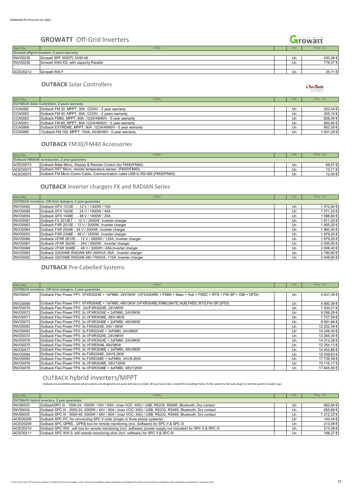#### Growatt **GROWATT** Off-Grid Inverters Item No. Article Unit Price Unit Price Unit Price Unit Price Unit Price Unit Price Unit Price Unit Price Unit **Growatt offgrid inverters, 2 years warranty** INVO0235 Growatt SPF 3000TL HVM-48 Un 430,36 € Growatt 5000 ES, with capacity Paralle ACEO0212 Growatt Wifi-F 35,71 € 35,71 € 35,71 € 35,71 € 35,71 € 35,71 € 35,71 € 35,71 € 35,71 € 35,71 € 35,71 €

#### **OUTBACK** Solar Controllers

| Item No.       | Article                                                    | Unit | Price Un.  |
|----------------|------------------------------------------------------------|------|------------|
|                | <b>OUTBACK Solar Controllers, 2 years warranty</b>         |      |            |
| <b>CCA0082</b> | Outback FM 30, MPPT, 30A, 12/24V - 2 year warranty         | Un   | 253.44 €   |
| CCA0083        | Outback FM 40, MPPT, 40A, 12/24V - 2 years warranty        | Un   | 305,10€    |
| <b>CCA0002</b> | Outback FM60, MPPT, 60A, 12/24/48/60V - 5 year warranty    | Un   | 626,34€    |
| CCA0001        | Outback FM 80, MPPT, 80A 12/24/48/60V - 5 year warranty    | Un   | 682,84 €   |
| <b>CCA0069</b> | Outback EXTREME, MPPT, 80A, 12/24/48/60V - 5 year warranty | Un   | 802,30 €   |
| <b>CCA0085</b> | Outback FM 100, MPPT, 100A, 24/36/48V - 5 year warranty    | Un   | 1 501.29 € |

#### **OUTBACK** FM30/FM40 Accessories

| Item No.        | Article                                                                           | Unit | Price Un. |
|-----------------|-----------------------------------------------------------------------------------|------|-----------|
|                 | Outback FM30/40 accessories, 2 year guarantee                                     |      |           |
| <b>ACEO0073</b> | Outback Mate Micro. Display & Remote Control (for FM30/FM40)                      | Un   | 68.57€    |
| ACEO0074        | Outback RST Micro, remote temperature sensor, (FM30/FM40)                         | Un   | 13,71 €   |
| <b>ACEO0075</b> | <b>Outback FM Micro Comm Cable, Communication cable USB to RS-485 (FM30/FM40)</b> | Un   | 12.00 €   |

#### **OUTBACK** Inverter chargers FX and RADIAN Series

| Item No.        | Article                                                        |  | Unit | Price Un.  |  |  |  |
|-----------------|----------------------------------------------------------------|--|------|------------|--|--|--|
|                 | <b>OUTBACK inverters / Off Grid chargers, 2 year guarantee</b> |  |      |            |  |  |  |
| <b>INVO0062</b> | Outback GFX 1312E - 12 V / 1300W / 70A                         |  | Un   | 1572,80€   |  |  |  |
| <b>INVO0089</b> | Outback GFX 1424E - 24 V / 1400W / 40A                         |  | Un   | 1 571,20 € |  |  |  |
| <b>INVO0054</b> | Outback GFX 1448E - 48 V / 1400W / 20A                         |  | Un   | 1 588,80 € |  |  |  |
| <b>INVO0087</b> | Outback FX 2012ET - 12 V / 2000W. Inverter charger             |  | Un   | 1811,20€   |  |  |  |
| <b>INVO0063</b> | Outback FXR 2012E - 12 V / 2000W. Inverter charger             |  | Un   | 1955.20€   |  |  |  |
| <b>INVO0064</b> | Outback FXR 2024E - 24 V / 2000W. Inverter charger             |  | Un   | 1992,00€   |  |  |  |
| <b>INVO0053</b> | Outback FXR 2348E - 48 V / 2300W. Inverter charger             |  | Un   | 1979.20€   |  |  |  |
| <b>INVO0066</b> | Outback VFXR 2612E - 12 V / 2600W / 125A, Inverter charger     |  | Un   | 1979.20€   |  |  |  |
| <b>INVO0067</b> | Outback VFXR 3024E - 24V / 3000W, Inverter charger             |  | Un   | 2 000,00 € |  |  |  |
| <b>INVO0068</b> | Outback VFXR 3048E - 48 V / 3000W / 45A. Inverter charger      |  | Un   | 2 006.40 € |  |  |  |
| <b>INVO0083</b> | Outback GS3548E RADIAN 48V-3500VA, 50A, Inverter charger       |  | Un   | 2 780,80 € |  |  |  |
| <b>INVO0082</b> | Outback GS7048E RADIAN 48V-7000VA, 115A . Inverter charger     |  | Un   | 3 049,60 € |  |  |  |

**OUTBACK** Pre-Cabelled Systems

| Item No.        | Article                                                                                                               | Unit | Price Un.   |
|-----------------|-----------------------------------------------------------------------------------------------------------------------|------|-------------|
|                 | <b>OUTBACK inverters / Off Grid chargers, 2 year guarantee</b>                                                        |      |             |
| <b>INVO0047</b> | Outback Flex Power FP1: VFXR3024E + 1xFM80, 24V/3KW (VFX3024RE + FM80 + Mate + Hub + FNDC + RTS + FW-SP + IOB + GFDI) | Un   | 4 631.39 €  |
|                 |                                                                                                                       |      |             |
| <b>INVO0069</b> | Outback Flex Power FP1: VFXR3048E + 1xFM80, 48V/3KW (VFXR3048E,FM80,MATE,HUB,FNDC,RTS,FW-SP,GFDI)                     | Un   | 4 560,36 €  |
| <b>INVO0070</b> | Outback Flex Power FP2: 2xVFXR3024E, 24V/6KW                                                                          | Un   | 7 934,21 €  |
| <b>INVO0072</b> | Outback Flex Power FP2: 2x VFXR3024E + 2xFM80, 24V/6KW                                                                | Un   | 9 298.29€   |
| <b>INVO0071</b> | Outback Flex Power FP2: 2x VFXR3048E, 48V/ 6KW                                                                        | Un   | 7 727,59€   |
| <b>INVO0073</b> | Outback Flex Power FP2: 2x VFXR3048E + 2xFM80, 48V/6KW                                                                | Un   | 9 091,66 €  |
| <b>INVO0092</b> | Outback Flex Power FP3: 3x FXR2024E, 24V / 6KW                                                                        | Un   | 12 202,39 € |
| <b>INVO0093</b> | Outback Flex Power FP3: 3x FXR2024E + 3xFM80, 24V/6KW                                                                 | Un   | 14 249,30 € |
| <b>INVO0074</b> | Outback Flex Power FP3: 3x VFXR3024E, 24V/9KW                                                                         | Un   | 12 265.34 € |
| <b>INVO0076</b> | Outback Flex Power FP3: 3x VFXR3024E + 3xFM80, 24V/9KW                                                                | Un   | 14 312.26 € |
| <b>INVO0075</b> | Outback Flex Power FP3: 3x VFXR3048, 48V/9KW                                                                          | Un   | 12 354,13 € |
| <b>INVO0077</b> | Outback Flex Power FP3: 3x VFXR3048E + 3xFM80, 48V/9KW                                                                | Un   | 14 402,66 € |
| <b>INVO0094</b> | Outback Flex Power FP4: 4x FXR2348E, 24V/9.2KW                                                                        | Un   | 15 009,63 € |
| <b>INVO0095</b> | Outback Flex Power FP4: 4x FXR2348E + 4xFM80, 24V/9.2KW                                                               | Un   | 17 739,39 € |
| <b>INVO0078</b> | Outback Flex Power FP4: 4x VFXR3048E, 48V/12KW                                                                        | Un   | 15 116,17 € |
| <b>INVO0079</b> | Outback Flex Power FP4: 4x VFXR3048E + 4xFM80, 48V/12KW                                                               | Un   | 17 845,93 € |

#### OUTBACK hybrid inverters/MPPT

Outback pre-assembled and pre-wired systems are designed to be quick and easy to install. All you have to do is install the mounting frame, fix the system to the wall, plug it in and the system is ready to go.

| Item No.                                          | Article                                                                                                            |  | Unit | Price Un.  |
|---------------------------------------------------|--------------------------------------------------------------------------------------------------------------------|--|------|------------|
| <b>OUTBACK hybrid inverters, 2 year guarantee</b> |                                                                                                                    |  |      |            |
| <b>INVS0033</b>                                   | OutbackSPC III - 1500-24, 1500W / 24V / 60A / (max VOC: 400) / USB, RS232, RS485, Bluetooth, Dry contact           |  | Un   | 682,84 €   |
| <b>INVS0034</b>                                   | Outback SPC III - 3000-24, 3000W / 24V / 80A / (max VOC: 500) / USB, RS232, RS485, Bluetooth, Dry contact          |  | Un   | 955,66€    |
| <b>INVS0035</b>                                   | Outback SPC III - 5000-48, 5000W / 48V / 80A / (max VOC: 500) / USB, RS232, RS485, Bluetooth, Dry contact          |  | Un   | 1 212,33 € |
| <b>ACEO0208</b>                                   | Outback SPC PC, for connecting SPC II units (single or three phase systems)                                        |  | Un   | 140,44 €   |
| <b>ACEO0209</b>                                   | Outback SPC GPRS, GPRS box for remote monitoring (incl. Software) for SPC II & SPC III                             |  | Un   | 213,09€    |
| ACEO0210                                          | Outback SPC Wifi, wifi box for remote monitoring (incl. software) (power supply not included) for SPC II & SPC III |  | Un   | 213,09€    |
| <b>ACEO0211</b>                                   | Outback SPC Wifi S, wifi remote monitoring stick (incl. software) for SPC II & SPC III                             |  | Un   | 166,27€    |

 $Out$  Sack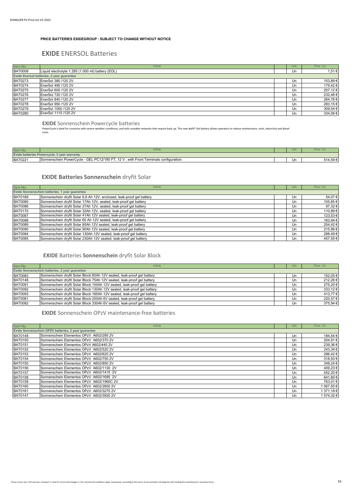#### **PRICE BATTERIES EXIDEGROUP : SUBJECT TO CHANGE WITHOUT NOTICE**

#### **EXIDE** ENERSOL Batteries

| Item No.       | Article                                           | Unit | Price Un. |
|----------------|---------------------------------------------------|------|-----------|
| <b>BAT0008</b> | Liquid electrolyte 1.285 (1.000 ml) battery (EOL) | Un   | 1,51€     |
|                | Exide Enersol batteries, 2 year guarantee         |      |           |
| <b>BAT0273</b> | EnerSol 380 /120 2V                               | Un   | 153,89€   |
| <b>BAT0274</b> | EnerSol 490 /120 2V                               | Un   | 179,42 €  |
| <b>BAT0275</b> | EnerSol 600 /120 2V                               | Un   | 207,12€   |
| <b>BAT0276</b> | EnerSol 720 /120 2V                               | Un   | 232,46€   |
| <b>BAT0277</b> | EnerSol 840 /120 2V                               | Un   | 264,76€   |
| <b>BAT0278</b> | EnerSol 950 /120 2V                               | Un   | 283,15€   |
| <b>BAT0279</b> | EnerSol 1050 /120 2V                              | Un   | 309,04 €  |
| <b>BAT0280</b> | EnerSol 1110 /120 2V                              | Un   | 334,06 €  |

**EXIDE** Sonnenschein Powercycle batteries

PowerCycle is ideal for countries with severe weather conditions, and with unstable networks that require back up. This new dryfit® Gel battery allows operators to reduce maintenance, visits, electricity and diesel costs.

| Item No.                                    | Article                                                                                                          |  | Unit |         |  |
|---------------------------------------------|------------------------------------------------------------------------------------------------------------------|--|------|---------|--|
| Exide batteries Powercycle, 2 year warranty |                                                                                                                  |  |      |         |  |
| BAT0221                                     | $\ldots$ 12 $\vee$<br>with Front<br>PC12/180 FT.<br>- GEL<br>Sonnenschein PowerCycle<br>Terminals configuration. |  | Un   | 514,59€ |  |
|                                             |                                                                                                                  |  |      |         |  |

#### **EXIDE Batteries Sonnenschein** dryfit Solar

| Item No.                                       | Article                                                                |  | Unit | Price Un. |
|------------------------------------------------|------------------------------------------------------------------------|--|------|-----------|
| Exide Sonnenschein batteries, 1 year guarantee |                                                                        |  |      |           |
| <b>BAT0169</b>                                 | Sonnenschein dryfit Solar 6,6 Ah 12V, enclosed, leak-proof gel battery |  | Un   | 54,07€    |
| <b>BAT0080</b>                                 | Sonnenschein dryfit Solar 17Ah 12V, sealed, leak-proof gel battery     |  | Un   | 105,85€   |
| <b>BAT0086</b>                                 | Sonnenschein dryfit Solar 27Ah 12V, sealed, leak-proof gel battery     |  | Un   | 97,32€    |
| <b>BAT0170</b>                                 | Sonnenschein dryfit Solar 32Ah 12V, sealed, leak-proof gel battery     |  | Un   | 110,89€   |
| <b>BAT0087</b>                                 | Sonnenschein dryfit Solar 41Ah 12V sealed, leak-proof gel battery      |  | Un   | 123,53 €  |
| <b>BAT0088</b>                                 | Sonnenschein dryfit Solar 60 Ah 12V sealed, leak-proof gel battery     |  | Un   | 163,94 €  |
| <b>BAT0089</b>                                 | Sonnenschein dryfit Solar 85Ah 12V sealed, leak-proof gel battery      |  | Un   | 204,42€   |
| <b>BAT0090</b>                                 | Sonnenschein dryfit Solar 90Ah 12V sealed, leak-proof gel battery      |  | Un   | 215,86€   |
| <b>BAT0084</b>                                 | Sonnenschein dryfit Solar 130Ah 12V sealed, leak-proof gel battery     |  | Un   | 298,49€   |
| <b>BAT0085</b>                                 | Sonnenschein dryfit Solar 230Ah 12V sealed, leak-proof gel battery     |  | Un   | 457.55€   |

#### **EXIDE** Batteries **Sonnenschein** dryfit Solar Block

| Item No.       | Article                                                                  | Unit | Price Un.    |
|----------------|--------------------------------------------------------------------------|------|--------------|
|                | Exide Sonnenschein batteries, 2 year guarantee                           |      |              |
| <b>BAT0083</b> | Sonnenschein dryfit Solar Block 60Ah 12V sealed, leak-proof gel battery  | Un   | 152,05 €     |
| <b>BAT0148</b> | Sonnenschein dryfit Solar Block 75Ah 12V sealed, leak-proof gel battery  | Un   | 212,26€      |
| <b>BAT0091</b> | Sonnenschein dryfit Solar Block 100Ah 12V sealed, leak-proof gel battery | Un   | 275,20€      |
| <b>BAT0092</b> | Sonnenschein dryfit Solar Block 130Ah 12V sealed, leak-proof gel battery | Un   | $333,12 \in$ |
| <b>BAT0093</b> | Sonnenschein dryfit Solar Block 185Ah 12V sealed, leak-proof gel battery | Un   | 413,77€      |
| <b>BAT0081</b> | Sonnenschein dryfit Solar Block 200Ah 6V sealed, leak-proof gel battery  | Un   | 220,57€      |
| <b>BAT0082</b> | Sonnenschein dryfit Solar Block 330Ah 6V sealed, leak-proof gel battery  | Un   | 375,94 €     |

**EXIDE** Sonnenschein OPzV maintenance-free batteries

| Item No.       | Article                                             | Unit | Price Un.  |
|----------------|-----------------------------------------------------|------|------------|
|                | Exide Sonnenschein OPZV batteries, 2 year guarantee |      |            |
| <b>BAT0149</b> | Sonnenschein Elementos OPzV A602/295 2V             | Un   | 184,54 €   |
| <b>BAT0150</b> | Sonnenschein Elementos OPzV A602/370 2V             | Un   | 204.91€    |
| <b>BAT0151</b> | Sonnenschein Elementos OPzV A602/440 2V             | Un   | 239,36€    |
| <b>BAT0152</b> | Sonnenschein Elementos OPzV A602/520 2V             | Un   | 243.34 €   |
| <b>BAT0153</b> | Sonnenschein Elementos OPzV A602/625 2V             | Un   | 286,42€    |
| <b>BAT0154</b> | Sonnenschein Elementos OPzV A602/750 2V             | Un   | 318,93€    |
| <b>BAT0155</b> | Sonnenschein Elementos OPzV A602/850 2V             | Un.  | 348,24 €   |
| <b>BAT0156</b> | Sonnenschein Elementos OPzV A602/1130 2V            | Un   | 459,23€    |
| <b>BAT0157</b> | Sonnenschein Elementos OPzV A602/1415 2V            | Un.  | 552,20€    |
| <b>BAT0158</b> | Sonnenschein Elementos OPzV A602/1695 2V            | Un   | 641,60€    |
| <b>BAT0159</b> | Sonnenschein Elementos OPzV A602/1960C 2V           | Un   | 763.01 €   |
| <b>BAT0160</b> | Sonnenschein Elementos OPzV A602/2600 2V            | Un   | 1 067,50 € |
| <b>BAT0161</b> | Sonnenschein Elementos OPzV A602/3270 2V            | Un   | 1 371,18 € |
| <b>BAT0147</b> | Sonnenschein Elementos OPzV A602/3920 2V            | Un   | 1 574.32 € |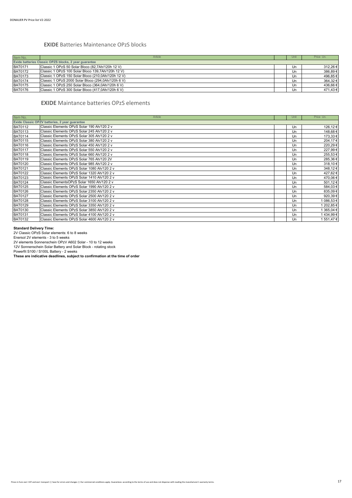#### **EXIDE** Batteries Maintenance OPzS blocks

| Item No.       | Article                                               | Unit | Price Un. |
|----------------|-------------------------------------------------------|------|-----------|
|                | Exide batteries Classic OPZS blocks, 2 year guarantee |      |           |
| <b>BAT0171</b> | Classic 1 OPzS 50 Solar Bloco (82,7Ah/120h 12 V)      | Un   | 312,26€   |
| <b>BAT0172</b> | Classic 1 OPzS 100 Solar Bloco 139,7Ah/120h 12 V)     | Un   | 386,89€   |
| <b>BAT0173</b> | Classic 1 OPzS 150 Solar Bloco (210,0Ah/120h 12 V)    | Un   | 496,85€   |
| <b>BAT0174</b> | Classic 1 OPzS 2000 Solar Bloco (294,0Ah/120h 6 V)    | Un   | 364,32€   |
| <b>BAT0175</b> | Classic 1 OPzS 250 Solar Bloco (364,0Ah/120h 6 V)     | Un   | 436,66€   |
| <b>BAT0176</b> | Classic 1 OPzS 300 Solar Bloco (417,0Ah/120h 6 V)     | Un   | 471,43 €  |

#### **EXIDE** Maintance batteries OPzS elements

| Item No.       | Article                                        | Unit | Price Un.  |
|----------------|------------------------------------------------|------|------------|
|                | Exide Classic OPZV batteries, 2 year guarantee |      |            |
| <b>BAT0112</b> | Classic Elements OPzS Solar 190 Ah/120 2 v     | Un   | 126,12€    |
| <b>BAT0113</b> | Classic Elements OPzS Solar 245 Ah/120 2 v     | Un   | 148,68€    |
| <b>BAT0114</b> | Classic Elements OPzS Solar 305 Ah/120 2 v     | Un   | 173,33 €   |
| <b>BAT0115</b> | Classic Elements OPzS Solar 380 Ah/120 2 v     | Un   | 204,17€    |
| <b>BAT0116</b> | Classic Elements OPzS Solar 450 Ah/120 2 v     | Un   | 220,29€    |
| <b>BAT0117</b> | Classic Elements OPzS Solar 550 Ah/120 2 v     | Un   | 227,99€    |
| <b>BAT0118</b> | Classic Elements OPzS Solar 660 Ah/120 2 v     | Un   | 255,53€    |
| <b>BAT0119</b> | Classic Elements OPzS Solar 765 Ah/120 2V      | Un   | 285,36€    |
| <b>BAT0120</b> | Classic Elements OPzS Solar 985 Ah/120 2 v     | Un   | 318,10€    |
| <b>BAT0121</b> | Classic Elements OPzS Solar 1080 Ah/120 2 v    | Un   | 348,12€    |
| <b>BAT0122</b> | Classic Elements OPzS Solar 1320 Ah/120 2 v    | Un   | 427,62€    |
| <b>BAT0123</b> | Classic Elements OPzS Solar 1410 Ah/120 2 v    | Un   | 470,06€    |
| <b>BAT0124</b> | Classic ElementsOPzS Solar 1650 Ah/120 2 v     | Un   | 501,12€    |
| <b>BAT0125</b> | Classic Elements OPzS Solar 1990 Ah/120 2 v    | Un   | 584,03€    |
| <b>BAT0126</b> | Classic Elements OPzS Solar 2350 Ah/120 2 v    | Un   | 835,09€    |
| <b>BAT0127</b> | Classic Elements OPzS Solar 2500 Ah/120 2 v    | Un   | 920,39€    |
| <b>BAT0128</b> | Classic Elements OPzS Solar 3100 Ah/120 2 v    | Un   | 1 086,53 € |
| <b>BAT0129</b> | Classic Elements OPzS Solar 3350 Ah/120 2 v    | Un   | 1 202,85 € |
| <b>BAT0130</b> | Classic Elements OPzS Solar 3850 Ah/120 2 v    | Un   | 1 365,04 € |
| <b>BAT0131</b> | Classic Elements OPzS Solar 4100 Ah/120 2 v    | Un   | 1434,99€   |
| <b>BAT0132</b> | Classic Elements OPzS Solar 4600 Ah/120 2 v    | Un   | 1 551,47 € |

**Standard Delivery Time:**<br>2V Classic OPzS Solar elements: 6 to 8 weeks<br>Enersol 2V elements - 3 to 5 weeks<br>2V elements Sonnenschein OPzV A602 Solar - 10 to 12 weeks

12V Sonnenschein Solar Battery and Solar Block - rotating stock Powerfit S100 / S100L Battery - 2 weeks **These are indicative deadlines, subject to confirmation at the time of order**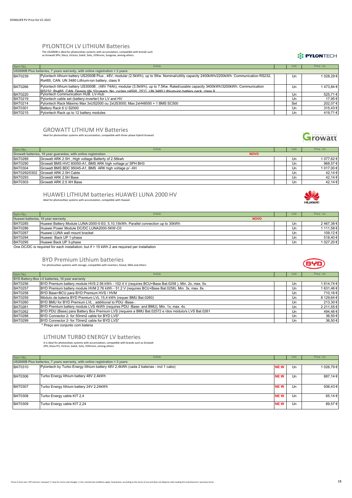#### PYLONTECH LV LITHIUM Batteries

The US2000B is ideal for photovoltaic systems with accumulation, compatible with brands such as Growatt SPH, Steca, Victron, SoleX, Solis, VOltronic, Sungrow, among others.

#### **IT PYLONTECH**

| Item No.       | Article                                                                                                                                                                                                                                    | Unit | Price Un.  |
|----------------|--------------------------------------------------------------------------------------------------------------------------------------------------------------------------------------------------------------------------------------------|------|------------|
|                | US2000B Plus batteries, 7 years warranty, with online registration + 3 years                                                                                                                                                               |      |            |
| <b>BAT0239</b> | Pylontech lithium battery US2000B Plus, 48V, modular (2.5kWh), up to 5Kw. Nominal/utility capacity 2400kWh/2200kWh. Communication RS232,<br>Rs485, CAN. UN 3480 Lithium-ion battery, class 9                                               | Un   | 1 028.29 € |
| <b>BAT0266</b> | Pylontech lithium battery US3000B, (48V 74Ah), modular (3.5kWh), up to 7.5Kw. Rated/usable capacity 3400kWh/3200kWh. Communication<br>RS232 Rs485 CAN Design life 10+years No. cycles >4500-25°C LIN 3480 Lithium-ion battery pack class 9 | Un   | 1473.84€   |
| <b>BAT0220</b> | Pylontech Communication HUB LV-Hub                                                                                                                                                                                                         | Un   | 525,71€    |
| <b>BAT0219</b> | Pylontech cable set (battery-inverter) for LV and HV                                                                                                                                                                                       | Un   | 17,95 €    |
| <b>BAT0214</b> | Pylontech Rack Máximo Max 3xUS2000 ou 2xUS3000; Max 2xH48050 + 1 BMS SC500                                                                                                                                                                 | Set  | 202,07€    |
| <b>BAT0301</b> | Battery Rack 6 U S2000                                                                                                                                                                                                                     | Un   | 315,43€    |
| <b>BAT0215</b> | Pylontech Rack up to 12 battery modules                                                                                                                                                                                                    | Un   | 419.71€    |

#### GROWATT LITHIUM HV Batteries

Ideal for photovoltaic systems with accumulation, compatible with three-phase hybrid Growatt

| Item No.                                                                      | Article                                                   | Unit | Price Un.  |
|-------------------------------------------------------------------------------|-----------------------------------------------------------|------|------------|
| Growatt batteries, 10 year guarantee, with online registration<br><b>NOVO</b> |                                                           |      |            |
| <b>BAT0289</b>                                                                | Growatt ARK 2.5H, High voltage Batterty of 2.56kwh        | Un   | 1 077,62 € |
| <b>BAT0290</b>                                                                | Growatt BMS HVC 60050-A1, BMS ARK high voltage p/ SPH BH3 | Un   | 968.57€    |
| <b>BAT0304</b>                                                                | Growatt BMS BDC 95045-A1, BMS ARK high voltage p/-XH      | Un   | 1 017,00 € |
| BAT0292/0302                                                                  | Growatt ARK 2.5H Cable                                    | Un   | 42.14 €    |
| <b>BAT0293</b>                                                                | Growatt ARK 2.5H Base                                     | Un   | 42,14 €    |
| <b>BAT0303</b>                                                                | Growatt ARK 2.5 XH Base                                   | Un   | 42.14 €    |

#### HUAWEI LITHIUM batteries HUAWEI LUNA 2000 HV

Ideal for photovoltaic systems with accumulation, compatible with Huawei

| Item No.                                          | <b>Article</b>                                                                    |  | Uni | Price Un.  |
|---------------------------------------------------|-----------------------------------------------------------------------------------|--|-----|------------|
| Huawei batteries. 10 year warranty<br><b>NOVO</b> |                                                                                   |  |     |            |
| <b>BAT0285</b>                                    | Huawei Battery Module LUNA-2000-5-E0: 5.10.15kWh. Parallel connection up to 30kWh |  | Ur  | 2467,38€   |
| <b>BAT0286</b>                                    | Huawei Power Module DC/DC LUNA2000-5KW-C0                                         |  | Un  | 111,58 €   |
| <b>BAT0287</b>                                    | Huawei LUNA wall mount bracket                                                    |  | Un  | 109.12 €   |
| <b>BAT0294</b>                                    | Huawei Back UP 1-phase                                                            |  | Un  | 518,40€    |
| <b>BAT0295</b>                                    | Huawei Back UP 3-phase                                                            |  | Un  | 1 027,20 € |

One DC/DC is required for each installation, but if > 15 kWh 2 are required per installation

#### BYD Premium Lithium batteries

For photovoltaic systems with storage, compatible with inverters, Kostal, SMA and others

| Item No.       | Article                                                                                           | Unit | Price Un.  |
|----------------|---------------------------------------------------------------------------------------------------|------|------------|
|                | BYD Battery-Box LV batteries, 10 year warranty                                                    |      |            |
| <b>BAT0256</b> | BYD Premium battery module HVS 2.56 kWh - 102.4 V (requires BCU+Base Bat.0258), Min. 2x, max. 5x. | Un   | 1 614,74 € |
| <b>BAT0257</b> | BYD Premium battery module HVM 2.76 kWh - 51.2 V (requires BCU+Base Bat.0258), Min. 3x, max. 8x.  | Un   | 1 631,46 € |
| <b>BAT0258</b> | BYD Base+BCU para BYD Premium HVS / HVM                                                           | Un   | 710,16€    |
| <b>BAT0259</b> | Módulo de bateria BYD Premium LVL 15,4 kWh (requer BMU Bat.0260)                                  | Un   | 8 129,64 € |
| <b>BAT0260</b> | BYD BMU for BYD Premium LVL, additional to PDU -Base-.                                            | Un   | 213,30 €   |
| <b>BAT0261</b> | BYD Premium battery module LVS 4kWh (requires PDU -Base- and BMU), Min. 1x, max. 4x.              | Un   | 2 211,55 € |
| <b>BAT0262</b> | BYD PDU (Base) para Battery Box Premium LVS (requere a BMU Bat.02572 e /dos módulo/s LVS Bat.0261 | Un   | 494,46€    |
| <b>BAT0288</b> | BYD Connector 2- for 50mm2 cable for BYD LVS*                                                     | Un   | 36,50€     |
| <b>BAT0299</b> | BYD Connector 2- for 70mm2 cable for BYD LVS*                                                     | Un   | 36,50 €    |

\* Preço em conjunto com bateria

#### LITHIUM TURBO ENERGY LV batteries

It is ideal for photovoltaic systems with accumulation, compatible with brands such as Growatt<br>SPH, Steca PLI, Victron, SoleX, Solis, VOltronic, among others.

| Item No.       | Article                                                                              |            | Unit | Price Un. |
|----------------|--------------------------------------------------------------------------------------|------------|------|-----------|
|                | US2000B Plus batteries, 7 years warranty, with online registration + 3 years         |            |      |           |
| <b>BAT0310</b> | Pylontech by Turbo Energy lithium battery 48V 2,4kWh (cada 2 baterias - incl 1 cabo) | <b>NEW</b> | Un   | 1 026,79€ |
| <b>BAT0306</b> | Turbo Energy lithium battery 48V 2,4kWh                                              | <b>NEW</b> | Un   | 887,14 €  |
| <b>BAT0307</b> | Turbo Energy lithium battery 24V 2,24kWh                                             | <b>NEW</b> | Un   | 936,43€   |
| <b>BAT0308</b> | Turbo Energy cable KIT 2,4                                                           | <b>NEW</b> | Un   | 65,14 €   |
| <b>BAT0309</b> | Turbo Energy cable KIT 2,24                                                          | <b>NEW</b> | Un   | 89.57 €   |





8YI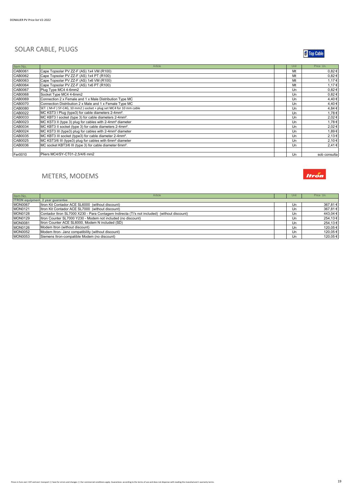#### SOLAR CABLE, PLUGS



| Item No. | Article                                                              | Unit | Price Un.    |
|----------|----------------------------------------------------------------------|------|--------------|
| CAB0061  | Cape Topsolar PV ZZ-F (AS) 1x4 VM (R100)                             | Mt   | $0.82 \in$   |
| CAB0062  | Cape Topsolar PV ZZ-F (AS) 1x4 PT (R100)                             | Mt   | $0.82 \in$   |
| CAB0063  | Cape Topsolar PV ZZ-F (AS) 1x6 VM (R100)                             | Mt   | 1,17€        |
| CAB0064  | Cape Topsolar PV ZZ-F (AS) 1x6 PT (R100)                             | Mt   | 1.17€        |
| CAB0067  | Plug Type MC4 4-6mm2                                                 | Un   | 0,82€        |
| CAB0068  | Socket Type MC4 4-6mm2                                               | Un   | 0,82€        |
| CAB0069  | Connection 2 x Female and 1 x Male Distribution Type MC              | Un   | 4,40€        |
| CAB0070  | Connection Distribution 2 x Male and 1 x Female Type MC              | Un   | 4,40€        |
| CAB0080  | SET. (M+F) SY-C4G, 10 mm2) socket + plug set MC4 for 10 mm cable     | Un   | 4,84 €       |
| CAB0022  | MC KST3 I Plug (type3) for cable diameters 2-4mm <sup>2</sup> .      | Un   | 1,78€        |
| CAB0033  | MC KBT3 I socket (type 3) for cable diameters 2-4mm <sup>2</sup> .   | Un   | 2,02€        |
| CAB0023  | MC KST3 II (type 3) plug for cables with 2-4mm <sup>2</sup> diameter | Un   | 1.78€        |
| CAB0034  | MC KBT3 II socket (type 3) for cable diameters 2-4mm <sup>2</sup> .  | Un   | 2,02€        |
| CAB0024  | MC KST3 III (type3) plug for cables with 2-4mm <sup>2</sup> diameter | Un   | 1.89€        |
| CAB0035  | MC KBT3 III socket (type3) for cable diameter 2-4mm <sup>2</sup> .   | Un   | 2,13€        |
| CAB0025  | MC KST3/6 III (type3) plug for cables with 6mm <sup>2</sup> diameter | Un   | 2,10€        |
| CAB0036  | MC socket KBT3/6 III (type 3) for cable diameter 6mm <sup>2</sup> .  | Un   | 2,41€        |
|          |                                                                      |      |              |
| Fer0010  | Pliers MC4/SY-CT01-2.5/4/6 mm2                                       | Un   | sob consulta |

# METERS, MODEMS



| Item No.       | Article                                                                                     | Uni | Price Un. |
|----------------|---------------------------------------------------------------------------------------------|-----|-----------|
|                | <b>ITRON</b> equipment, 2 year quarantee                                                    |     |           |
| <b>MON0067</b> | Itron Kit Contador ACE SL6000 (without discount)                                            | Un  | 367,81€   |
| <b>MON0121</b> | Itron Kit Contador ACE SL7000 (without discount)                                            | Un  | 367,81€   |
| <b>MON0128</b> | Contador Itron SL7000 X230 - Para Contagem Indirecta (Ti's not included) (without discount) | Un  | 443,04 €  |
| <b>MON0129</b> | Itron Counter SL7000 Y230 - Modem not included (no discount)                                | Un  | 254,13€   |
| <b>MON0081</b> | Itron Counter ACE SL6000, Modem N included (SD)                                             | Un  | 254,13€   |
| <b>MON0126</b> | Modem Itron (without discount)                                                              | Un  | 120,05€   |
| <b>MON0052</b> | Modem Itron- Janz compatibility (without discount)                                          | Un  | 120,05€   |
| <b>MON0053</b> | Siemens Itron-compatible Modem (no discount)                                                | Un  | 120.05€   |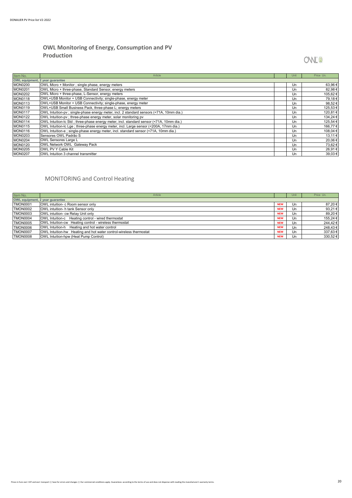#### **OWL Monitoring of Energy, Consumption and PV Production**

# **OWL®**

| Item No.                        | Article                                                                                 | Unit | Price Un. |  |
|---------------------------------|-----------------------------------------------------------------------------------------|------|-----------|--|
| OWL equipment, 2 year guarantee |                                                                                         |      |           |  |
| <b>MON0200</b>                  | OWL Micro + Monitor ; single phase, energy meters                                       | Un   | 63,96€    |  |
| <b>MON0201</b>                  | OWL Micro + three-phase, Standard Sensor, energy meters                                 | Un   | 82,98€    |  |
| <b>MON0202</b>                  | OWL Micro + three-phase, L-Sensor, energy meters                                        | Un   | 105,62€   |  |
| <b>MON0118</b>                  | OWL+USB Monitor + USB Connectivity; single-phase, energy meter                          | Un   | 79,18€    |  |
| <b>MON0113</b>                  | OWL+USB Monitor + USB Connectivity; single-phase, energy meter                          | Un   | 98,52€    |  |
| <b>MON0119</b>                  | OWL+USB Small Business Pack, three-phase L; energy meters                               | Un   | 125,53€   |  |
| <b>MON0117</b>                  | OWL Intuition-pv; single-phase energy meter, incl. 2 standard sensors (<71A, 10mm dia.) | Un   | 120,81€   |  |
| <b>MON0122</b>                  | OWL Intuition-pv; three-phase energy meter, solar monitoring pv                         | Un   | 134,24 €  |  |
| <b>MON0114</b>                  | OWL Intuition-Ic Std; three-phase energy meter, incl. standard sensor (<71A, 10mm dia.) | Un   | 125,54 €  |  |
| <b>MON0115</b>                  | OWL Intuition-Ic Lge; three-phase energy meter, incl. Large sensor (<200A, 17mm dia.)   | Un   | 166,77€   |  |
| <b>MON0116</b>                  | OWL Intuition-e ; single-phase energy meter, incl. standard sensor (<71A, 10mm dia.)    | Un   | 108,04 €  |  |
| <b>MON0203</b>                  | Sensores OWL Padrão S                                                                   | Un   | 13,11 €   |  |
| <b>MON0204</b>                  | <b>OWL Sensores Large L</b>                                                             | Un   | 20,06€    |  |
| <b>MON0120</b>                  | OWL Network OWL Gateway Pack                                                            | Un   | 73,62 €   |  |
| <b>MON0205</b>                  | OWL PV Y Cable Kit                                                                      | Un   | 26,91€    |  |
| <b>MON0207</b>                  | OWL Intuition 3 channel transmitter                                                     | Un   | 39,03 €   |  |

#### MONITORING and Control Heating

| Item No.                        | Article                                                            |            | Unit | Price Un.   |
|---------------------------------|--------------------------------------------------------------------|------------|------|-------------|
| OWL equipment, 2 year quarantee |                                                                    |            |      |             |
| <b>TMON0001</b>                 | OWL intuition- c Room sensor only                                  | <b>NEW</b> | Un   | 87,20 €     |
| <b>TMON0002</b>                 | OWL intuition- h tank Sensor only                                  | <b>NEW</b> | Un   | 93,21 $\in$ |
| <b>TMON0003</b>                 | OWL intuition- cw Relay Unit only                                  | <b>NEW</b> | Un   | 89,20 €     |
| <b>TMON0004</b>                 | OWL Intuition-c Heating control - wired thermostat                 | <b>NEW</b> | Un   | 155,24 €    |
| <b>TMON0005</b>                 | OWL Intuition-cw Heating control - wireless thermostat             | <b>NEW</b> | Un   | 244,42€     |
| <b>TMON0006</b>                 | OWL Intuition-h Heating and hot water control                      | <b>NEW</b> | Un   | 248,43 €    |
| <b>TMON0007</b>                 | OWL Intuition-hw Heating and hot water control-wireless thermostat | <b>NEW</b> | Un   | 337,63€     |
| <b>TMON0008</b>                 | OWL Intuition-hpw (Heat Pump Control)                              | <b>NEW</b> | Un   | 330,52€     |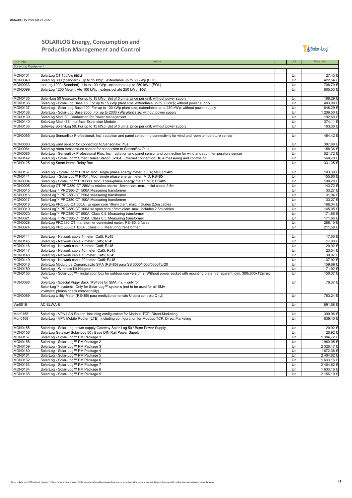#### **SOLARLOG Energy, Consumption and Production Management and Control**

### JJ Solar-Log<sup>®</sup>

| Item No.                         | Article                                                                                                                                           | Unit     | Price Un.  |
|----------------------------------|---------------------------------------------------------------------------------------------------------------------------------------------------|----------|------------|
| <b>SolarLog Equipment</b>        |                                                                                                                                                   |          |            |
|                                  |                                                                                                                                                   |          |            |
| <b>MON0101</b>                   | SolarLog CT 100A-o (EOL)                                                                                                                          | Un       | 27,43€     |
| <b>MON0040</b>                   | SolarLog 300 (Standard). Up to 15 kWp, extendable up to 30 kWp (EOL)                                                                              | Un       | 422,54€    |
| <b>MON0033</b>                   | olarLog 1200 (Standard). Up to 100 kWp, extendable up to 250 kWp (EOL)                                                                            | Un       | 708,70€    |
| <b>MON0099</b>                   | SolarLog 1200 Meter . Até 100 kWp, extensivel até 250 kWp (EOL)                                                                                   | Un       | 805,53€    |
|                                  |                                                                                                                                                   |          |            |
| MON0135                          | Solar-Log 50 Gateway. For up to 15 kWp; Set of 6 units; price per unit; without power supply                                                      | Un       | 168,29€    |
| <b>MON0136</b>                   | SolarLog - Solar-Log Base 15. For up to 15 kWp plant size; extendable up to 30 kWp; without power supply                                          | Un       | 483,08€    |
| <b>MON0137</b>                   | SolarLog - Solar-Log Base 100. For up to 100 kWp plant size; extendable up to 250 kWp; without power supply                                       | Un       | 846,29€    |
| <b>MON0138</b>                   | SolarLog - Solar-Log Base 2000. For up to 2000 kWp plant size; without power supply                                                               | Un       | 1 209,50 € |
| <b>MON0139</b>                   | SolarLog Mod I/O. Connection for Power Management                                                                                                 | Un       | 192,50€    |
| <b>MON0140</b>                   | SolarLog Mod 485. Interface Expansion Module                                                                                                      | Un       | 374,11€    |
| <b>MON0135</b>                   | Gateway Solar-Log 50. For up to 15 kWp; Set of 6 units; price per unit; without power supply                                                      | Un       | 103,30 €   |
|                                  |                                                                                                                                                   |          |            |
| <b>MON0055</b>                   | SolarLog SensorBox Professional. Incl. radiation and panel sensor, no connectivity for wind and room temperature sensor                           | Un       | 464,42€    |
|                                  |                                                                                                                                                   |          |            |
| <b>MON0083</b>                   | SolarLog wind sensor for connection to SensorBox Plus                                                                                             | Un       | 397,88€    |
| <b>MON0084</b>                   | SolarLog room temperature sensor for connection to SensorBox Plus                                                                                 | Un       | 158,36€    |
| <b>MON0085</b>                   | SolarLog - SensorBox Professional Plus. Incl. radiation and panel sensor and connection for wind and room temperature sensor                      | Un       | 521,72€    |
| <b>MON0142</b>                   | SolarLog - Solar-Log™ Smart Relais Station 3x16A. Ethernet connection; 16 A measuring and controlling                                             | Un       | 568,79€    |
| <b>MON0125</b>                   | SolarLog Smart Home Relay Box                                                                                                                     | Un       | 331,35€    |
|                                  |                                                                                                                                                   |          |            |
| <b>MON0167</b>                   | SolarLog - Solar-Log™ PRO2. Mod; single phase energy meter; 100A; MID; RS485                                                                      | Un       | 103,30 €   |
|                                  |                                                                                                                                                   |          |            |
| <b>MON0141</b><br><b>MON0004</b> | SolarLog - Solar-Log™ PRO1. Mod; single phase energy meter; MID; RS485<br>SolarLog - Solar-Log™ PRO380. Mod; Three-phase energy meter; MID; RS485 | Un<br>Un | 155,60€    |
|                                  |                                                                                                                                                   |          | 198,28€    |
| <b>MON0005</b>                   | SolarLog CT PRO380-CT 250A c/ núcleo aberto 18mm diam. max. inclui cabos 2.5m                                                                     | Un       | 143,72€    |
| <b>MON0015</b>                   | Solar-Log™ PRO380-CT 500A Measuring transformer                                                                                                   | Un       | 33,27€     |
| <b>MON0016</b>                   | Solar-Log™ PRO380-CT 250A Measuring transformer                                                                                                   | Un       | 31,94 €    |
| <b>MON0017</b>                   | Solar-Log™ PRO380-CT 100A Measuring transformer                                                                                                   | Un       | 33,27€     |
| <b>MON0018</b>                   | SolarLog PRO380-CT 500A, w/ open core 18mm diam. max. includes 2.5m cables                                                                        | Un       | 166,34€    |
| <b>MON0019</b>                   | Solar-Log™ PRO380-CT 100A w/ open core 18mm diam. max. includes 2.5m cables                                                                       | Un       | 145,05€    |
| <b>MON0020</b>                   | Solar-Log™ PRO380-CT 500A, Class 0,5, Measuring transformer                                                                                       | Un       | 171,66€    |
| <b>MON0021</b>                   | Solar-Log™ PRO380-CT 250A, Class 0,5, Measuring transformer                                                                                       | Un       | 171,66€    |
| <b>MON0028</b>                   | SolarLog PRO380-CT, transformer connected meter, RS485, 3 fases                                                                                   | Un       | 286,10€    |
| <b>MON0074</b>                   | SolarLog PRO380-CT 100A, Class 0.5 Mearuring transformer                                                                                          | Un       | 211,58€    |
|                                  |                                                                                                                                                   |          |            |
| <b>MON0144</b>                   | SolarLog - Network cable 1 meter. Cat5; RJ45                                                                                                      | Un       | 17,00 €    |
| <b>MON0145</b>                   | SolarLog - Network cable 2 meter. Cat5; RJ45                                                                                                      | Un       | 17,00 €    |
| <b>MON0146</b>                   | SolarLog - Network cable 5 meter. Cat5; RJ45                                                                                                      | Un       | 20,92€     |
| <b>MON0147</b>                   | SolarLog - Network cable 10 meter. Cat5; RJ45                                                                                                     | Un       | 23,54 €    |
| <b>MON0148</b>                   | SolarLog - Network cable 15 meter. Cat5; RJ45                                                                                                     | Un       | 30,07€     |
| <b>MON0149</b>                   | SolarLog - Network cable 20 meter. Cat5; RJ45                                                                                                     | Un       | 37,92€     |
| <b>MON0046</b>                   | SolarLog Modulo de Comunicação SMA (RS485) para SB 3000/4000/5000TL-20                                                                            | Un       | 159,69€    |
| <b>MON0150</b>                   | SolarLog - Wireless Kit Netgear                                                                                                                   | Un       | 71,92€     |
| <b>MON0153</b>                   | SolarLog - Solar-Log™ - installation box for outdoor use version 2, Without power socket with mounting plate; transparent; dim. 300x600x132mm;    | Un       | 150,37€    |
|                                  | IP65                                                                                                                                              |          |            |
| <b>MON0088</b>                   | SolarLog - Special Piggy Back (RS485) for SMA inv. - only for                                                                                     | Un       | 76,37€     |
|                                  | Solar-Log™ systems. Only for Solar-Log™ systems (not to be used for all SMA                                                                       |          |            |
|                                  | inverters; please check compatibility)                                                                                                            |          |            |
| <b>MON0089</b>                   | SolarLog Utility Meter (RS485) para medição de tensão U para controlo Q (U)                                                                       | Un       | 783,24 €   |
|                                  |                                                                                                                                                   |          |            |
| Var0018                          | AC ELWA-E                                                                                                                                         | Un       | 891,58€    |
|                                  |                                                                                                                                                   |          |            |
| Mon0168                          | SolarLog - VPN LAN Router. Including configuration for Modbus TCP; Direct Marketing                                                               | Un       | 390,96€    |
| Mon0169                          | SolarLog - VPN Mobile Router (LTE). Including configuration for Modbus TCP; Direct Marketing                                                      | Un       | 639,40€    |
|                                  |                                                                                                                                                   |          |            |
| <b>MON0155</b>                   | SolarLog - Solar-Log power supply Gateway Solar-Log 50 / Base Power Supply                                                                        | Un       | 20,92€     |
| <b>MON0156</b>                   | SolarLog Gateway Solar-Log 50 / Base DIN Rail Power Supply                                                                                        | Un       | 20,92€     |
| <b>MON0157</b>                   | SolarLog - Solar-Log™ PM Package 1                                                                                                                | Un       | 1 384,72 € |
| <b>MON0158</b>                   | SolarLog - Solar-Log™ PM Package 2                                                                                                                | Un       | 1 960,05 € |
| <b>MON0159</b>                   | SolarLog - Solar-Log™ PM Package 3                                                                                                                | Un       | 2 326,17 € |
| <b>MON0160</b>                   | SolarLog - Solar-Log™ PM Package 4                                                                                                                | Un       | 1 672,38 € |
| <b>MON0161</b>                   | SolarLog - Solar-Log™ PM Package 5                                                                                                                | Un       | 2404,62€   |
| <b>MON0162</b>                   | SolarLog - Solar-Log™ PM Package 6                                                                                                                | Un       | 1 633,16 € |
| MON0163                          | SolarLog - Solar-Log™ PM Package 7                                                                                                                | Un       | 2404,62€   |
| <b>MON0164</b>                   | SolarLog - Solar-Log™ PM Package 8                                                                                                                | Un       | 1 633,16 € |
| <b>MON0165</b>                   | SolarLog - Solar-Log™ PM Package 9                                                                                                                | Un       | 2 156,19€  |
|                                  |                                                                                                                                                   |          |            |